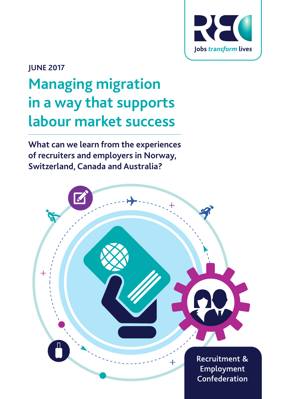

# **JUNE 2017**

# **Managing migration in a way that supports labour market success**

**What can we learn from the experiences of recruiters and employers in Norway, Switzerland, Canada and Australia?**

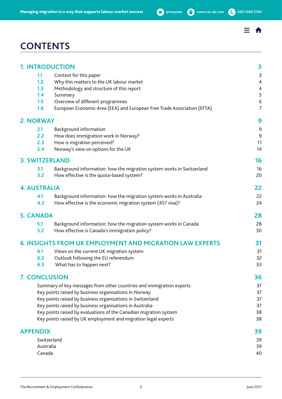# **Managing migration in a way that supports labour market success <b>by** @recpress **@** www.rec.uk.com **(** 020 7009 2100

# **CONTENTS**

|                     | <b>1. INTRODUCTION</b>                                                  | 3                        |  |  |  |  |
|---------------------|-------------------------------------------------------------------------|--------------------------|--|--|--|--|
| 1.1                 | Context for this paper                                                  | $\overline{3}$           |  |  |  |  |
| 1.2                 | Why this matters to the UK labour market                                | $\overline{\mathcal{L}}$ |  |  |  |  |
| 1.3                 | Methodology and structure of this report                                | 4                        |  |  |  |  |
| 1.4                 | Summary                                                                 | 5                        |  |  |  |  |
| 1.5                 | Overview of different programmes                                        | 6                        |  |  |  |  |
| 1.6                 | European Economic Area (EEA) and European Free Trade Association (EFTA) | 7                        |  |  |  |  |
| <b>2. NORWAY</b>    |                                                                         | 9                        |  |  |  |  |
| 2.1                 | <b>Background information</b>                                           | 9                        |  |  |  |  |
| 2.2                 | How does immigration work in Norway?                                    | 9                        |  |  |  |  |
| 2.3                 | How is migration perceived?                                             | 11                       |  |  |  |  |
| 2.4                 | Norway's view on options for the UK                                     | 14                       |  |  |  |  |
|                     | <b>3. SWITZERLAND</b>                                                   | 16                       |  |  |  |  |
| 3.1                 | Background information: how the migration system works in Switzerland   | 16                       |  |  |  |  |
| 3.2                 | How effective is the quota-based system?                                | 20                       |  |  |  |  |
| <b>4. AUSTRALIA</b> |                                                                         | 22                       |  |  |  |  |
| 4.1                 | Background information: how the migration system works in Australia     | 22                       |  |  |  |  |
| 4.2                 | How effective is the economic migration system (457 visa)?              | 24                       |  |  |  |  |
| <b>5. CANADA</b>    |                                                                         | 28                       |  |  |  |  |
| 5.1                 | Background information: how the migration system works in Canada        | 28                       |  |  |  |  |
| 5.2                 | How effective is Canada's immigration policy?                           | 30                       |  |  |  |  |
|                     | <b>6. INSIGHTS FROM UK EMPLOYMENT AND MIGRATION LAW EXPERTS</b>         | 31                       |  |  |  |  |
| 6.1                 | Views on the current UK migration system                                | 31                       |  |  |  |  |
| 6.2                 | Outlook following the EU referendum                                     | 32                       |  |  |  |  |
| 6.3                 | What has to happen next?                                                | 33                       |  |  |  |  |
|                     | <b>7. CONCLUSION</b>                                                    | 36                       |  |  |  |  |
|                     | Summary of key messages from other countries and immigration experts    | 37                       |  |  |  |  |
|                     | Key points raised by business organisations in Norway                   | 37                       |  |  |  |  |
|                     | Key points raised by business organisations in Switzerland              | 37                       |  |  |  |  |
|                     | Key points raised by business organisations in Australia                | 37                       |  |  |  |  |
|                     | Key points raised by evaluations of the Canadian migration system       | 38                       |  |  |  |  |
|                     | Key points raised by UK employment and migration legal experts          | 38                       |  |  |  |  |
| <b>APPENDIX</b>     |                                                                         | 39                       |  |  |  |  |
|                     | Switzerland                                                             | 39                       |  |  |  |  |
| Australia           |                                                                         |                          |  |  |  |  |
| Canada              |                                                                         |                          |  |  |  |  |

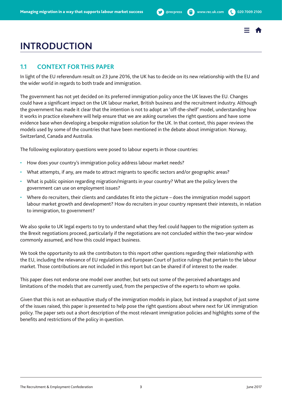# <span id="page-2-0"></span>**INTRODUCTION**

# **1.1 CONTEXT FOR THIS PAPER**

In light of the EU referendum result on 23 June 2016, the UK has to decide on its new relationship with the EU and the wider world in regards to both trade and immigration.

The government has not yet decided on its preferred immigration policy once the UK leaves the EU. Changes could have a significant impact on the UK labour market, British business and the recruitment industry. Although the government has made it clear that the intention is not to adopt an 'off-the-shelf' model, understanding how it works in practice elsewhere will help ensure that we are asking ourselves the right questions and have some evidence base when developing a bespoke migration solution for the UK. In that context, this paper reviews the models used by some of the countries that have been mentioned in the debate about immigration: Norway, Switzerland, Canada and Australia.

The following exploratory questions were posed to labour experts in those countries:

- How does your country's immigration policy address labour market needs?
- What attempts, if any, are made to attract migrants to specific sectors and/or geographic areas?
- What is public opinion regarding migration/migrants in your country? What are the policy levers the government can use on employment issues?
- Where do recruiters, their clients and candidates fit into the picture does the immigration model support labour market growth and development? How do recruiters in your country represent their interests, in relation to immigration, to government?

We also spoke to UK legal experts to try to understand what they feel could happen to the migration system as the Brexit negotiations proceed, particularly if the negotiations are not concluded within the two-year window commonly assumed, and how this could impact business.

We took the opportunity to ask the contributors to this report other questions regarding their relationship with the EU, including the relevance of EU regulations and European Court of Justice rulings that pertain to the labour market. Those contributions are not included in this report but can be shared if of interest to the reader.

This paper does not endorse one model over another, but sets out some of the perceived advantages and limitations of the models that are currently used, from the perspective of the experts to whom we spoke.

Given that this is not an exhaustive study of the immigration models in place, but instead a snapshot of just some of the issues raised, this paper is presented to help pose the right questions about where next for UK immigration policy. The paper sets out a short description of the most relevant immigration policies and highlights some of the benefits and restrictions of the policy in question.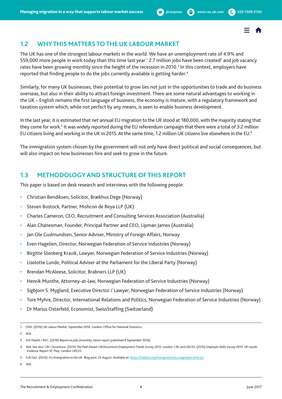

# <span id="page-3-0"></span>**1.2 WHY THIS MATTERS TO THE UK LABOUR MARKET**

The UK has one of the strongest labour markets in the world. We have an unemployment rate of 4.9% and 559,000 more people in work today than this time last year.<sup>1</sup> 2.7 million jobs have been created<sup>2</sup> and job vacancy rates have been growing monthly since the height of the recession in 2010.<sup>3</sup> In this context, employers have reported that finding people to do the jobs currently available is getting harder.<sup>4</sup>

Similarly, for many UK businesses, their potential to grow lies not just in the opportunities to trade and do business overseas, but also in their ability to attract foreign investment. There are some natural advantages to working in the UK – English remains the first language of business, the economy is mature, with a regulatory framework and taxation system which, while not perfect by any means, is seen to enable business development.

In the last year, it is estimated that net annual EU migration to the UK stood at 180,000, with the majority stating that they come for work.<sup>5</sup> It was widely reported during the EU referendum campaign that there were a total of 3.2 million EU citizens living and working in the UK in 2015. At the same time, 1.2 million UK citizens live elsewhere in the EU.6

The immigration system chosen by the government will not only have direct political and social consequences, but will also impact on how businesses hire and seek to grow in the future.

# **1.3 METHODOLOGY AND STRUCTURE OF THIS REPORT**

This paper is based on desk research and interviews with the following people:

- Christian Bendiksen, Solicitor, Brækhus Dege (Norway)
- Steven Bostock, Partner, Mishcon de Reya LLP (UK)
- Charles Cameron, CEO, Recruitment and Consulting Services Association (Austrailia)
- Alan Chanesman, Founder, Principal Partner and CEO, Lipman James (Australia)
- Jan Ole Gudmundsen, Senior Adviser, Ministry of Foreign Affairs, Norway
- Even Hagelien, Director, Norwegian Federation of Service Industries (Norway)
- Birgitte Stenberg Kravik, Lawyer, Norwegian Federation of Service Industries (Norway)
- Liselotte Lunde, Political Adviser at the Parliament for the Liberal Party (Norway)
- Brendan McAleese, Solicitor, Brabners LLP (UK)
- Henrik Munthe, Attorney-at-law, Norwegian Federation of Service Industries (Norway)
- Sigbjorn S. Mygland, Executive Director / Lawyer, Norwegian Federation of Service Industries (Norway)
- Tore Myhre, Director, International Relations and Politics, Norwegian Federation of Service Industries (Norway)
- Dr Marius Osterfeld, Economist, SwissStaffing (Switzerland)

<sup>1</sup> ONS. (2016) *UK Labour Market: September 2016*. London: Office for National Statistics.

<sup>2</sup> Ibid.

<sup>3</sup> IHS Markit / REC. (2016) *Report on Jobs* (monthly, latest report published 8 September 2016).

<sup>4</sup> Ibid. See also: CBI / Accenture. (2015) *The Path Ahead: CBI/Accenture Employment Trends Survey 2015*. London: CBI; and UKCES. (2016) *Employer Skills Survey 2015: UK results*. Evidence Report 97. May. London: UKCES.

<sup>5</sup> Full Fact. (2016). *EU Immigration to the UK*. Blog post, 25 August. Available at: <https://fullfact.org/immigration/eu-migration-and-uk/>

<sup>6</sup> Ibid.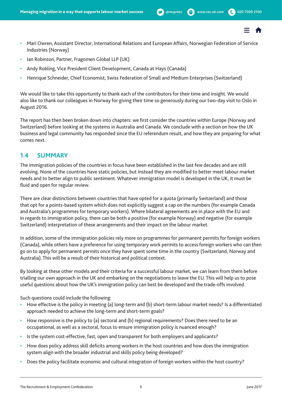

- <span id="page-4-0"></span>• Mari Owren, Assistant Director, International Relations and European Affairs, Norwegian Federation of Service Industries (Norway)
- Ian Robinson, Partner, Fragomen Global LLP (UK)
- Andy Robling, Vice President Client Development, Canada at Hays (Canada)
- Henrique Schneider, Chief Economist, Swiss Federation of Small and Medium Enterprises (Switzerland)

We would like to take this opportunity to thank each of the contributors for their time and insight. We would also like to thank our colleagues in Norway for giving their time so generously during our two-day visit to Oslo in August 2016.

The report has then been broken down into chapters: we first consider the countries within Europe (Norway and Switzerland) before looking at the systems in Australia and Canada. We conclude with a section on how the UK business and legal community has responded since the EU referendum result, and how they are preparing for what comes next.

## **1.4 SUMMARY**

The immigration policies of the countries in focus have been established in the last few decades and are still evolving. None of the countries have static policies, but instead they are modified to better meet labour market needs and to better align to public sentiment. Whatever immigration model is developed in the UK, it must be fluid and open for regular review.

There are clear distinctions between countries that have opted for a quota (primarily Switzerland) and those that opt for a points-based system which does not explicitly suggest a cap on the numbers (for example Canada and Australia's programmes for temporary workers). Where bilateral agreements are in place with the EU and in regards to immigration policy, there can be both a positive (for example Norway) and negative (for example Switzerland) interpretation of these arrangements and their impact on the labour market.

In addition, some of the immigration policies rely more on programmes for permanent permits for foreign workers (Canada), while others have a preference for using temporary work permits to access foreign workers who can then go on to apply for permanent permits once they have spent some time in the country (Switzerland, Norway and Australia). This will be a result of their historical and political context.

By looking at these other models and their criteria for a successful labour market, we can learn from them before trialling our own approach in the UK and embarking on the negotiations to leave the EU. This will help us to pose useful questions about how the UK's immigration policy can best be developed and the trade-offs involved.

Such questions could include the following:

- How effective is the policy in meeting (a) long-term and (b) short-term labour market needs? Is a differentiated approach needed to achieve the long-term and short-term goals?
- How responsive is the policy to (a) sectoral and (b) regional requirements? Does there need to be an occupational, as well as a sectoral, focus to ensure immigration policy is nuanced enough?
- Is the system cost-effective, fast, open and transparent for both employers and applicants?
- How does policy address skill deficits among workers in the host countries and how does the immigration system align with the broader industrial and skills policy being developed?
- Does the policy facilitate economic and cultural integration of foreign workers within the host country?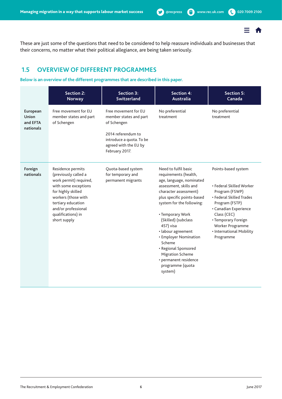

<span id="page-5-0"></span>These are just some of the questions that need to be considered to help reassure individuals and businesses that their concerns, no matter what their political allegiance, are being taken seriously.

# **1.5 OVERVIEW OF DIFFERENT PROGRAMMES**

#### **Below is an overview of the different programmes that are described in this paper.**

|                                                   | <b>Section 2:</b><br><b>Norway</b>                                                                                                                                                                                          | Section 3:<br><b>Switzerland</b>                                                                                                                           | <b>Section 4:</b><br><b>Australia</b>                                                                                                                                                                                                                                                                                                                                                                               | <b>Section 5:</b><br>Canada                                                                                                                                                                                                                 |
|---------------------------------------------------|-----------------------------------------------------------------------------------------------------------------------------------------------------------------------------------------------------------------------------|------------------------------------------------------------------------------------------------------------------------------------------------------------|---------------------------------------------------------------------------------------------------------------------------------------------------------------------------------------------------------------------------------------------------------------------------------------------------------------------------------------------------------------------------------------------------------------------|---------------------------------------------------------------------------------------------------------------------------------------------------------------------------------------------------------------------------------------------|
| European<br><b>Union</b><br>and EFTA<br>nationals | Free movement for EU<br>member states and part<br>of Schengen                                                                                                                                                               | Free movement for EU<br>member states and part<br>of Schengen<br>2014 referendum to<br>introduce a quota. To be<br>agreed with the EU by<br>February 2017. | No preferential<br>treatment                                                                                                                                                                                                                                                                                                                                                                                        | No preferential<br>treatment                                                                                                                                                                                                                |
| Foreign<br>nationals                              | Residence permits<br>(previously called a<br>work permit) required,<br>with some exceptions<br>for highly skilled<br>workers (those with<br>tertiary education<br>and/or professional<br>qualifications) in<br>short supply | Quota-based system<br>for temporary and<br>permanent migrants                                                                                              | Need to fulfil basic<br>requirements (health,<br>age, language, nominated<br>assessment, skills and<br>character assessment)<br>plus specific points-based<br>system for the following:<br>• Temporary Work<br>(Skilled) (subclass<br>457) visa<br>· labour agreement<br>• Employer Nomination<br>Scheme<br>• Regional Sponsored<br><b>Migration Scheme</b><br>• permanent residence<br>programme (quota<br>system) | Points-based system<br>• Federal Skilled Worker<br>Program (FSWP)<br>• Federal Skilled Trades<br>Program (FSTP)<br>• Canadian Experience<br>Class (CEC)<br>• Temporary Foreign<br>Worker Programme<br>• International Mobility<br>Programme |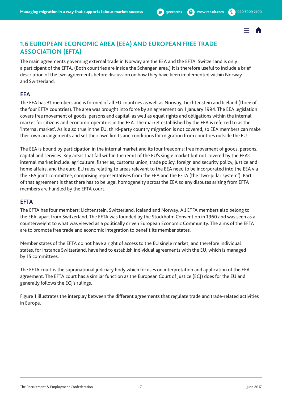

# <span id="page-6-0"></span>**1.6 EUROPEAN ECONOMIC AREA (EEA) AND EUROPEAN FREE TRADE ASSOCIATION (EFTA)**

The main agreements governing external trade in Norway are the EEA and the EFTA. Switzerland is only a participant of the EFTA. (Both countries are inside the Schengen area.) It is therefore useful to include a brief description of the two agreements before discussion on how they have been implemented within Norway and Switzerland.

## **EEA**

The EEA has 31 members and is formed of all EU countries as well as Norway, Liechtenstein and Iceland (three of the four EFTA countries). The area was brought into force by an agreement on 1 January 1994. The EEA legislation covers free movement of goods, persons and capital, as well as equal rights and obligations within the internal market for citizens and economic operators in the EEA. The market established by the EEA is referred to as the 'internal market'. As is also true in the EU, third-party country migration is not covered, so EEA members can make their own arrangements and set their own limits and conditions for migration from countries outside the EU.

The EEA is bound by participation in the internal market and its four freedoms: free movement of goods, persons, capital and services. Key areas that fall within the remit of the EU's single market but not covered by the EEA's internal market include: agriculture, fisheries, customs union, trade policy, foreign and security policy, justice and home affairs, and the euro. EU rules relating to areas relevant to the EEA need to be incorporated into the EEA via the EEA joint committee, comprising representatives from the EEA and the EFTA (the 'two-pillar system'). Part of that agreement is that there has to be legal homogeneity across the EEA so any disputes arising from EFTA members are handled by the EFTA court.

## **EFTA**

The EFTA has four members: Lichtenstein, Switzerland, Iceland and Norway. All ETFA members also belong to the EEA, apart from Switzerland. The EFTA was founded by the Stockholm Convention in 1960 and was seen as a counterweight to what was viewed as a politically driven European Economic Community. The aims of the EFTA are to promote free trade and economic integration to benefit its member states.

Member states of the EFTA do not have a right of access to the EU single market, and therefore individual states, for instance Switzerland, have had to establish individual agreements with the EU, which is managed by 15 committees.

The EFTA court is the supranational judiciary body which focuses on interpretation and application of the EEA agreement. The EFTA court has a similar function as the European Court of Justice (ECJ) does for the EU and generally follows the ECJ's rulings.

Figure 1 illustrates the interplay between the different agreements that regulate trade and trade-related activities in Europe.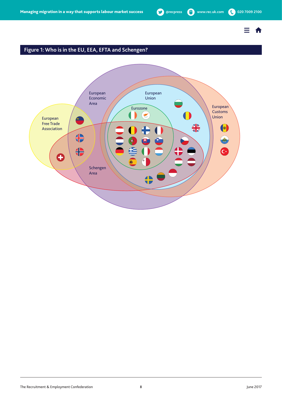$\equiv$   $\hat{\mathbf{n}}$ 

# **Figure 1: Who is in the EU, EEA, EFTA and Schengen?**

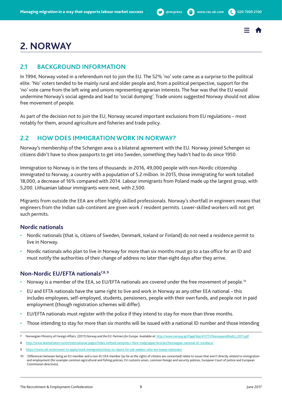# <span id="page-8-0"></span>**2. NORWAY**

# **2.1 BACKGROUND INFORMATION**

In 1994, Norway voted in a referendum not to join the EU. The 52% 'no' vote came as a surprise to the political elite. 'No' voters tended to be mainly rural and older people and, from a political perspective, support for the 'no' vote came from the left wing and unions representing agrarian interests. The fear was that the EU would undermine Norway's social agenda and lead to 'social dumping'. Trade unions suggested Norway should not allow free movement of people.

As part of the decision not to join the EU, Norway secured important exclusions from EU regulations – most notably for them, around agriculture and fisheries and trade policy.

# **2.2 HOW DOES IMMIGRATION WORK IN NORWAY?**

Norway's membership of the Schengen area is a bilateral agreement with the EU. Norway joined Schengen so citizens didn't have to show passports to get into Sweden, something they hadn't had to do since 1950.

Immigration to Norway is in the tens of thousands: in 2016, 49,000 people with non-Nordic citizenship immigrated to Norway, a country with a population of 5.2 million. In 2015, those immigrating for work totalled 18,000, a decrease of 16% compared with 2014. Labour immigrants from Poland made up the largest group, with 5,200. Lithuanian labour immigrants were next, with 2,500.

Migrants from outside the EEA are often highly skilled professionals. Norway's shortfall in engineers means that engineers from the Indian sub-continent are given work / resident permits. Lower-skilled workers will not get such permits.

## **Nordic nationals**

- Nordic nationals (that is, citizens of Sweden, Denmark, Iceland or Finland) do not need a residence permit to live in Norway.
- Nordic nationals who plan to live in Norway for more than six months must go to a tax office for an ID and must notify the authorities of their change of address no later than eight days after they arrive.

## **Non-Nordic EU/EFTA nationals7,8, 9**

- Norway is a member of the EEA, so EU/EFTA nationals are covered under the free movement of people.<sup>10</sup>
- EU and EFTA nationals have the same right to live and work in Norway as any other EEA national this includes employees, self-employed, students, pensioners, people with their own funds, and people not in paid employment (though registration schemes will differ).
- EU/EFTA nationals must register with the police if they intend to stay for more than three months.
- Those intending to stay for more than six months will be issued with a national ID number and those intending

<sup>7</sup> Norwegian Ministry of Foreign Affairs. (2011) *Norway and the EU: Partners for Europe*. Available at: [http://www.norway.gr/PageFiles/411711/NorwayandtheEU\\_2011.pdf](http://www.norway.gr/PageFiles/411711/NorwayandtheEU_2011.pdf)

<sup>8</sup> <http://www.skatteetaten.no/en/International-pages/Felles-innhold-benyttes-i-flere-malgrupper/Articles/Norwegian-national-ID-numbers/>

<sup>9</sup> <https://www.udi.no/en/want-to-apply/work-immigration/duty-to-report-for-job-seekers-who-are-eueea-nationals/>

<sup>10</sup> Differences between being an EU member and a non-EU EEA member (as far as the rights of citizens are concerned) relate to issues that aren't directly related to immigration and employment (for example common agricultural and fishing policies, EU customs union, common foreign and security policies, European Court of Justice and European Commission directives).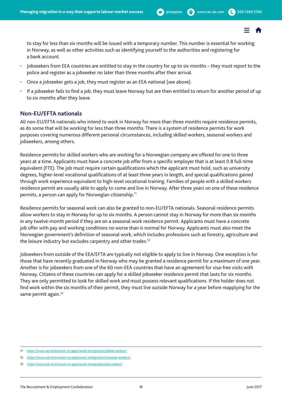

to stay for less than six months will be issued with a temporary number. This number is essential for working in Norway, as well as other activities such as identifying yourself to the authorities and registering for a bank account.

- Jobseekers from EEA countries are entitled to stay in the country for up to six months they must report to the police and register as a jobseeker no later than three months after their arrival.
- Once a jobseeker gets a job, they must register as an EEA national (see above).
- If a jobseeker fails to find a job, they must leave Norway but are then entitled to return for another period of up to six months after they leave.

### **Non-EU/EFTA nationals**

All non-EU/EFTA nationals who intend to work in Norway for more than three months require residence permits, as do some that will be working for less than three months. There is a system of residence permits for work purposes covering numerous different personal circumstances, including skilled workers, seasonal workers and jobseekers, among others.

Residence permits for skilled workers who are working for a Norwegian company are offered for one to three years at a time. Applicants must have a concrete job offer from a specific employer that is at least 0.8 full-time equivalent (FTE). The job must require certain qualifications which the applicant must hold, such as university degrees, higher-level vocational qualifications of at least three years in length, and special qualifications gained through work experience equivalent to high-level vocational training. Families of people with a skilled workers residence permit are usually able to apply to come and live in Norway. After three years on one of these residence permits, a person can apply for Norwegian citizenship.<sup>11</sup>

Residence permits for seasonal work can also be granted to non-EU/EFTA nationals. Seasonal residence permits allow workers to stay in Norway for up to six months. A person cannot stay in Norway for more than six months in any twelve-month period if they are on a seasonal work residence permit. Applicants must have a concrete job offer with pay and working conditions no worse than is normal for Norway. Applicants must also meet the Norwegian government's definition of seasonal work, which includes professions such as forestry, agriculture and the leisure industry but excludes carpentry and other trades.<sup>12</sup>

Jobseekers from outside of the EEA/EFTA are typically not eligible to apply to live in Norway. One exception is for those that have recently graduated in Norway who may be granted a residence permit for a maximum of one year. Another is for jobseekers from one of the 60 non-EEA countries that have an agreement for visa-free visits with Norway. Citizens of these countries can apply for a skilled jobseeker residence permit that lasts for six months. They are only permitted to look for skilled work and must possess relevant qualifications. If the holder does not find work within the six months of their permit, they must live outside Norway for a year before reapplying for the same permit again.<sup>13</sup>

<sup>11</sup> <https://www.udi.no/en/want-to-apply/work-immigration/skilled-workers/>

<sup>12</sup> <https://www.udi.no/en/want-to-apply/work-immigration/seasonal-workers/>

<https://www.udi.no/en/want-to-apply/work-immigration/job-seekers/>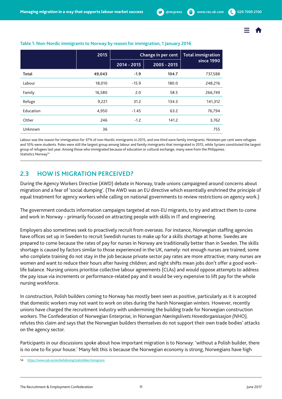

|           | 2015   | Change in per cent | <b>Total immigration</b> |            |
|-----------|--------|--------------------|--------------------------|------------|
|           |        | 2014 - 2015        | 2005 - 2015              | since 1990 |
| Total     | 49,043 | $-1.9$             | 104.7                    | 737,588    |
| Labour    | 18,010 | $-15.9$            | 180.0                    | 248,216    |
| Family    | 16,580 | 2.0                | 58.5                     | 266,749    |
| Refuge    | 9,221  | 31.2               | 134.3                    | 141,312    |
| Education | 4,950  | $-1.45$            | 63.2                     | 76,794     |
| Other     | 246    | $-1.2$             | 141.2                    | 3,762      |
| Unknown   | 36     | $\bullet$          | $\bullet$                | 755        |

#### <span id="page-10-0"></span>**Table 1: Non-Nordic immigrants to Norway by reason for immigration, 1 January 2016**

Labour was the reason for immigration for 37% of non-Nordic immigrants in 2015, and one third were family immigrants. Nineteen per cent were refugees and 10% were students. Poles were still the largest group among labour and family immigrants that immigrated in 2015, while Syrians constituted the largest group of refugees last year. Among those who immigrated because of education or cultural exchange, many were from the Philippines. Statistics Norway<sup>14</sup>

# **2.3 HOW IS MIGRATION PERCEIVED?**

During the Agency Workers Directive (AWD) debate in Norway, trade unions campaigned around concerns about migration and a fear of 'social dumping'. (The AWD was an EU directive which essentially enshrined the principle of equal treatment for agency workers while calling on national governments to review restrictions on agency work.)

The government conducts information campaigns targeted at non-EU migrants, to try and attract them to come and work in Norway – primarily focused on attracting people with skills in IT and engineering.

Employers also sometimes seek to proactively recruit from overseas. For instance, Norwegian staffing agencies have offices set up in Sweden to recruit Swedish nurses to make up for a skills shortage at home. Swedes are prepared to come because the rates of pay for nurses in Norway are traditionally better than in Sweden. The skills shortage is caused by factors similar to those experienced in the UK, namely: not enough nurses are trained; some who complete training do not stay in the job because private sector pay rates are more attractive; many nurses are women and want to reduce their hours after having children; and night shifts mean jobs don't offer a good work– life balance. Nursing unions prioritise collective labour agreements (CLAs) and would oppose attempts to address the pay issue via increments or performance-related pay and it would be very expensive to lift pay for the whole nursing workforce.

In construction, Polish builders coming to Norway has mostly been seen as positive, particularly as it is accepted that domestic workers may not want to work on sites during the harsh Norwegian winters. However, recently unions have charged the recruitment industry with undermining the building trade for Norwegian construction workers. The Confederation of Norwegian Enterprise, in Norwegian *Næringslivets Hovedorganisasjon (NHO),*  refutes this claim and says that the Norwegian builders themselves do not support their own trade bodies' attacks on the agency sector.

Participants in our discussions spoke about how important migration is to Norway: 'without a Polish builder, there is no one to fix your house.' Many felt this is because the Norwegian economy is strong, Norwegians have high

<sup>14</sup> <https://www.ssb.no/en/befolkning/statistikker/innvgrunn>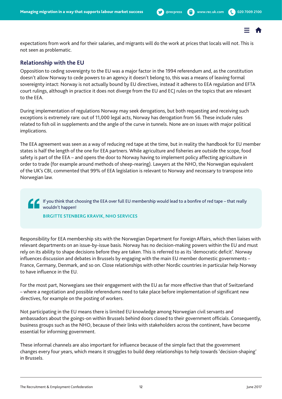

expectations from work and for their salaries, and migrants will do the work at prices that locals will not. This is not seen as problematic.

## **Relationship with the EU**

Opposition to ceding sovereignty to the EU was a major factor in the 1994 referendum and, as the constitution doesn't allow Norway to cede powers to an agency it doesn't belong to, this was a means of leaving formal sovereignty intact: Norway is not actually bound by EU directives, instead it adheres to EEA regulation and EFTA court rulings, although in practice it does not diverge from the EU and ECJ rules on the topics that are relevant to the EEA.

During implementation of regulations Norway may seek derogations, but both requesting and receiving such exceptions is extremely rare: out of 11,000 legal acts, Norway has derogation from 56. These include rules related to fish oil in supplements and the angle of the curve in tunnels. None are on issues with major political implications.

The EEA agreement was seen as a way of reducing red tape at the time, but in reality the handbook for EU member states is half the length of the one for EEA partners. While agriculture and fisheries are outside the scope, food safety is part of the EEA – and opens the door to Norway having to implement policy affecting agriculture in order to trade (for example around methods of sheep-rearing). Lawyers at the NHO, the Norwegian equivalent of the UK's CBI, commented that 99% of EEA legislation is relevant to Norway and necessary to transpose into Norwegian law.

If you think that choosing the EEA over full EU membership would lead to a bonfire of red tape – that really wouldn't happen!

**BIRGITTE STENBERG KRAVIK, NHO SERVICES**

Responsibility for EEA membership sits with the Norwegian Department for Foreign Affairs, which then liaises with relevant departments on an issue-by-issue basis. Norway has no decision-making powers within the EU and must rely on its ability to shape decisions before they are taken. This is referred to as its 'democratic deficit'. Norway influences discussion and debates in Brussels by engaging with the main EU member domestic governments – France, Germany, Denmark, and so on. Close relationships with other Nordic countries in particular help Norway to have influence in the EU.

For the most part, Norwegians see their engagement with the EU as far more effective than that of Switzerland – where a negotiation and possible referendums need to take place before implementation of significant new directives, for example on the posting of workers.

Not participating in the EU means there is limited EU knowledge among Norwegian civil servants and ambassadors about the goings-on within Brussels behind doors closed to their government officials. Consequently, business groups such as the NHO, because of their links with stakeholders across the continent, have become essential for informing government.

These informal channels are also important for influence because of the simple fact that the government changes every four years, which means it struggles to build deep relationships to help towards 'decision-shaping' in Brussels.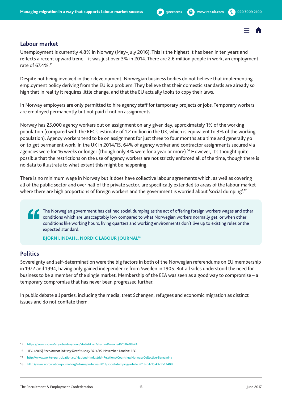### **Labour market**

Unemployment is currently 4.8% in Norway (May–July 2016). This is the highest it has been in ten years and reflects a recent upward trend – it was just over 3% in 2014. There are 2.6 million people in work, an employment rate of 67.4%.15

Despite not being involved in their development, Norwegian business bodies do not believe that implementing employment policy deriving from the EU is a problem. They believe that their domestic standards are already so high that in reality it requires little change, and that the EU actually looks to copy their laws.

In Norway employers are only permitted to hire agency staff for temporary projects or jobs. Temporary workers are employed permanently but not paid if not on assignments.

Norway has 25,000 agency workers out on assignment on any given day, approximately 1% of the working population (compared with the REC's estimate of 1.2 million in the UK, which is equivalent to 3% of the working population). Agency workers tend to be on assignment for just three to four months at a time and generally go on to get permanent work. In the UK in 2014/15, 64% of agency worker and contractor assignments secured via agencies were for 16 weeks or longer (though only 4% were for a year or more).<sup>16</sup> However, it's thought quite possible that the restrictions on the use of agency workers are not strictly enforced all of the time, though there is no data to illustrate to what extent this might be happening.

There is no minimum wage in Norway but it does have collective labour agreements which, as well as covering all of the public sector and over half of the private sector, are specifically extended to areas of the labour market where there are high proportions of foreign workers and the government is worried about 'social dumping'.<sup>17</sup>

The Norwegian government has defined social dumping as the act of offering foreign workers wages and other conditions which are unacceptably low compared to what Norwegian workers normally get, or when other conditions like working hours, living quarters and working environments don't live up to existing rules or the expected standard.

**BJÖRN LINDAHL, NORDIC LABOUR JOURNAL18**

## **Politics**

Sovereignty and self-determination were the big factors in both of the Norwegian referendums on EU membership in 1972 and 1994, having only gained independence from Sweden in 1905. But all sides understood the need for business to be a member of the single market. Membership of the EEA was seen as a good way to compromise – a temporary compromise that has never been progressed further.

In public debate all parties, including the media, treat Schengen, refugees and economic migration as distinct issues and do not conflate them.

<sup>15</sup> <https://www.ssb.no/en/arbeid-og-lonn/statistikker/akumnd/maaned/2016-08-24>

<sup>16</sup> REC. (2015) *Recruitment Industry Trends Survey 2014/15.* November. London: REC.

<sup>17</sup> <http://www.worker-participation.eu/National-Industrial-Relations/Countries/Norway/Collective-Bargaining>

<sup>18</sup> <http://www.nordiclabourjournal.org/i-fokus/in-focus-2013/social-dumping/article.2013-04-15.4323513408>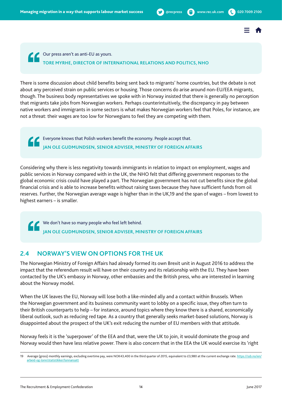

<span id="page-13-0"></span>Our press aren't as anti-EU as yours. **TORE MYRHE, DIRECTOR OF INTERNATIONAL RELATIONS AND POLITICS, NHO**

There is some discussion about child benefits being sent back to migrants' home countries, but the debate is not about any perceived strain on public services or housing. Those concerns do arise around non-EU/EEA migrants, though. The business body representatives we spoke with in Norway insisted that there is generally no perception that migrants take jobs from Norwegian workers. Perhaps counterintuitively, the discrepancy in pay between native workers and immigrants in some sectors is what makes Norwegian workers feel that Poles, for instance, are not a threat: their wages are too low for Norwegians to feel they are competing with them.

Everyone knows that Polish workers benefit the economy. People accept that. **JAN OLE GUDMUNDSEN, SENIOR ADVISER, MINISTRY OF FOREIGN AFFAIRS**

Considering why there is less negativity towards immigrants in relation to impact on employment, wages and public services in Norway compared with in the UK, the NHO felt that differing government responses to the global economic crisis could have played a part. The Norwegian government has not cut benefits since the global financial crisis and is able to increase benefits without raising taxes because they have sufficient funds from oil reserves. Further, the Norwegian average wage is higher than in the UK,19 and the span of wages – from lowest to highest earners – is smaller.

We don't have so many people who feel left behind. **JAN OLE GUDMUNDSEN, SENIOR ADVISER, MINISTRY OF FOREIGN AFFAIRS**

## **2.4 NORWAY'S VIEW ON OPTIONS FOR THE UK**

The Norwegian Ministry of Foreign Affairs had already formed its own Brexit unit in August 2016 to address the impact that the referendum result will have on their country and its relationship with the EU. They have been contacted by the UK's embassy in Norway, other embassies and the British press, who are interested in learning about the Norway model.

When the UK leaves the EU, Norway will lose both a like-minded ally and a contact within Brussels. When the Norwegian government and its business community want to lobby on a specific issue, they often turn to their British counterparts to help – for instance, around topics where they know there is a shared, economically liberal outlook, such as reducing red tape. As a country that generally seeks market-based solutions, Norway is disappointed about the prospect of the UK's exit reducing the number of EU members with that attitude.

Norway feels it is the 'superpower' of the EEA and that, were the UK to join, it would dominate the group and Norway would then have less relative power. There is also concern that in the EEA the UK would exercise its 'right

<sup>19</sup> Average (gross) monthly earnings, excluding overtime pay, were NOK43,400 in the third quarter of 2015, equivalent to £3,980 at the current exchange rate. [https://ssb.no/en/](https://ssb.no/en/arbeid-og-lonn/statistikker/lonnansatt) [arbeid-og-lonn/statistikker/lonnansatt](https://ssb.no/en/arbeid-og-lonn/statistikker/lonnansatt)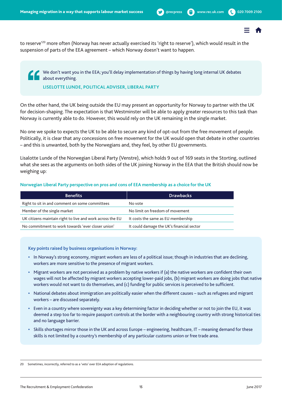to reserve<sup>'20</sup> more often (Norway has never actually exercised its 'right to reserve'), which would result in the suspension of parts of the EEA agreement – which Norway doesn't want to happen.

We don't want you in the EEA; you'll delay implementation of things by having long internal UK debates about everything.

#### **LISELOTTE LUNDE, POLITICAL ADVISER, LIBERAL PARTY**

On the other hand, the UK being outside the EU may present an opportunity for Norway to partner with the UK for decision-shaping. The expectation is that Westminster will be able to apply greater resources to this task than Norway is currently able to do. However, this would rely on the UK remaining in the single market.

No one we spoke to expects the UK to be able to secure any kind of opt-out from the free movement of people. Politically, it is clear that any concessions on free movement for the UK would open that debate in other countries – and this is unwanted, both by the Norwegians and, they feel, by other EU governments.

Lisalotte Lunde of the Norwegian Liberal Party (Venstre), which holds 9 out of 169 seats in the Storting, outlined what she sees as the arguments on both sides of the UK joining Norway in the EEA that the British should now be weighing up:

#### **Norwegian Liberal Party perspective on pros and cons of EEA membership as a choice for the UK**

| <b>Benefits</b>                                           | <b>Drawbacks</b>                          |
|-----------------------------------------------------------|-------------------------------------------|
| Right to sit in and comment on some committees            | No vote                                   |
| Member of the single market                               | No limit on freedom of movement           |
| UK citizens maintain right to live and work across the EU | It costs the same as EU membership        |
| No commitment to work towards 'ever closer union'         | It could damage the UK's financial sector |

#### **Key points raised by business organisations in Norway:**

- **•** In Norway's strong economy, migrant workers are less of a political issue; though in industries that are declining, workers are more sensitive to the presence of migrant workers.
- **•** Migrant workers are not perceived as a problem by native workers if (a) the native workers are confident their own wages will not be affected by migrant workers accepting lower-paid jobs, (b) migrant workers are doing jobs that native workers would not want to do themselves, and (c) funding for public services is perceived to be sufficient.
- **•** National debates about immigration are politically easier when the different causes such as refugees and migrant workers – are discussed separately.
- **•** Even in a country where sovereignty was a key determining factor in deciding whether or not to join the EU, it was deemed a step too far to require passport controls at the border with a neighbouring country with strong historical ties and no language barrier.
- **•** Skills shortages mirror those in the UK and across Europe engineering, healthcare, IT meaning demand for these skills is not limited by a country's membership of any particular customs union or free trade area.

<sup>20</sup> Sometimes, incorrectly, referred to as a 'veto' over EEA adoption of regulations.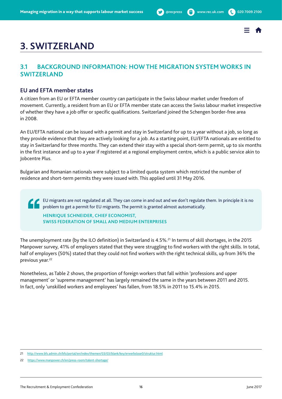

# <span id="page-15-0"></span>**3. SWITZERLAND**

# **3.1 BACKGROUND INFORMATION: HOW THE MIGRATION SYSTEM WORKS IN SWITZERLAND**

### **EU and EFTA member states**

A citizen from an EU or EFTA member country can participate in the Swiss labour market under freedom of movement. Currently, a resident from an EU or EFTA member state can access the Swiss labour market irrespective of whether they have a job offer or specific qualifications. Switzerland joined the Schengen border-free area in 2008.

An EU/EFTA national can be issued with a permit and stay in Switzerland for up to a year without a job, so long as they provide evidence that they are actively looking for a job. As a starting point, EU/EFTA nationals are entitled to stay in Switzerland for three months. They can extend their stay with a special short-term permit, up to six months in the first instance and up to a year if registered at a regional employment centre, which is a public service akin to Jobcentre Plus.

Bulgarian and Romanian nationals were subject to a limited quota system which restricted the number of residence and short-term permits they were issued with. This applied until 31 May 2016.

 EU migrants are not regulated at all. They can come in and out and we don't regulate them. In principle it is no problem to get a permit for EU migrants. The permit is granted almost automatically.

**HENRIQUE SCHNEIDER, CHIEF ECONOMIST, SWISS FEDERATION OF SMALL AND MEDIUM ENTERPRISES**

The unemployment rate (by the ILO definition) in Switzerland is 4.5%.<sup>21</sup> In terms of skill shortages, in the 2015 Manpower survey, 41% of employers stated that they were struggling to find workers with the right skills. In total, half of employers (50%) stated that they could not find workers with the right technical skills, up from 36% the previous year.<sup>22</sup>

Nonetheless, as Table 2 shows, the proportion of foreign workers that fall within 'professions and upper management' or 'supreme management' has largely remained the same in the years between 2011 and 2015. In fact, only 'unskilled workers and employees' has fallen, from 18.5% in 2011 to 15.4% in 2015.

<sup>21</sup> <http://www.bfs.admin.ch/bfs/portal/en/index/themen/03/03/blank/key/erwerbslose0/struktur.html>

<sup>22</sup> <https://www.manpower.ch/en/press-room/talent-shortage/>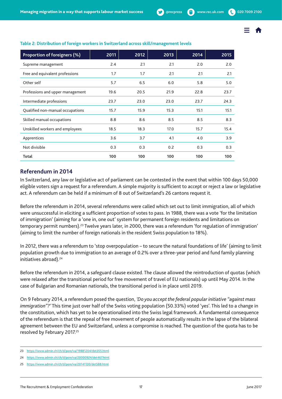

| Proportion of foreigners (%)     | 2011 | 2012 | 2013 | 2014 | 2015 |
|----------------------------------|------|------|------|------|------|
| Supreme management               | 2.4  | 2.1  | 2.1  | 2.0  | 2.0  |
| Free and equivalent professions  | 1.7  | 1.7  | 2.1  | 2.1  | 2.1  |
| Other self                       | 5.7  | 6.5  | 6.0  | 5.8  | 5.0  |
| Professions and upper management | 19.6 | 20.5 | 21.9 | 22.8 | 23.7 |
| Intermediate professions         | 23.7 | 23.0 | 23.0 | 23.7 | 24.3 |
| Qualified non-manual occupations | 15.7 | 15.9 | 15.3 | 15.1 | 15.1 |
| Skilled manual occupations       | 8.8  | 8.6  | 8.5  | 8.5  | 8.3  |
| Unskilled workers and employees  | 18.5 | 18.3 | 17.0 | 15.7 | 15.4 |
| Apprentices                      | 3.6  | 3.7  | 4.1  | 4.0  | 3.9  |
| Not divisible                    | 0.3  | 0.3  | 0.2  | 0.3  | 0.3  |
| Total                            | 100  | 100  | 100  | 100  | 100  |

#### **Table 2: Distribution of foreign workers in Switzerland across skill/management levels**

### **Referendum in 2014**

In Switzerland, any law or legislative act of parliament can be contested in the event that within 100 days 50,000 eligible voters sign a request for a referendum. A simple majority is sufficient to accept or reject a law or legislative act. A referendum can be held if a minimum of 8 out of Switzerland's 26 cantons request it.

Before the referendum in 2014, several referendums were called which set out to limit immigration, all of which were unsuccessful in eliciting a sufficient proportion of votes to pass. In 1988, there was a vote 'for the limitation of immigration' (aiming for a 'one in, one out' system for permanent foreign residents and limitations on temporary permit numbers).23 Twelve years later, in 2000, there was a referendum 'for regulation of immigration' (aiming to limit the number of foreign nationals in the resident Swiss population to 18%).

In 2012, there was a referendum to 'stop overpopulation – to secure the natural foundations of life' (aiming to limit population growth due to immigration to an average of 0.2% over a three-year period and fund family planning initiatives abroad).<sup>24</sup>

Before the referendum in 2014, a safeguard clause existed. The clause allowed the reintroduction of quotas (which were relaxed after the transitional period for free movement of travel of EU nationals) up until May 2014. In the case of Bulgarian and Romanian nationals, the transitional period is in place until 2019.

On 9 February 2014, a referendum posed the question, *'Do you accept the federal popular initiative "against mass immigration"?'* This time just over half of the Swiss voting population (50.33%) voted 'yes'. This led to a change in the constitution, which has yet to be operationalised into the Swiss legal framework. A fundamental consequence of the referendum is that the repeal of free movement of people automatically results in the lapse of the bilateral agreement between the EU and Switzerland, unless a compromise is reached. The question of the quota has to be resolved by February 2017.<sup>25</sup>

<sup>23</sup> https://www.admin.ch/ch/d/pore/va/19881204/det355.html

<sup>24</sup> https://www.admin.ch/ch/d/pore/va/20000924/det467.html

<sup>25</sup> https://www.admin.ch/ch/d/pore/va/20141130/det588.html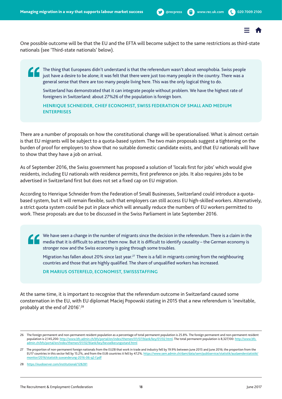One possible outcome will be that the EU and the EFTA will become subject to the same restrictions as third-state nationals (see 'Third-state nationals' below).

The thing that Europeans didn't understand is that the referendum wasn't about xenophobia. Swiss people just have a desire to be alone; it was felt that there were just too many people in the country. There was a general sense that there are too many people living here. This was the only logical thing to do.

 Switzerland has demonstrated that it can integrate people without problem. We have the highest rate of foreigners in Switzerland: about 27%26 of the population is foreign born.

**HENRIQUE SCHNEIDER, CHIEF ECONOMIST, SWISS FEDERATION OF SMALL AND MEDIUM ENTERPRISES**

There are a number of proposals on how the constitutional change will be operationalised. What is almost certain is that EU migrants will be subject to a quota-based system. The two main proposals suggest a tightening on the burden of proof for employers to show that no suitable domestic candidate exists, and that EU nationals will have to show that they have a job on arrival.

As of September 2016, the Swiss government has proposed a solution of 'locals first for jobs' which would give residents, including EU nationals with residence permits, first preference on jobs. It also requires jobs to be advertised in Switzerland first but does not set a fixed cap on EU migration.

According to Henrique Schneider from the Federation of Small Businesses, Switzerland could introduce a quotabased system, but it will remain flexible, such that employers can still access EU high-skilled workers. Alternatively, a strict quota system could be put in place which will annually reduce the numbers of EU workers permitted to work. These proposals are due to be discussed in the Swiss Parliament in late September 2016.

 We have seen a change in the number of migrants since the decision in the referendum. There is a claim in the media that it is difficult to attract them now. But it is difficult to identify causality – the German economy is stronger now and the Swiss economy is going through some troubles.

Migration has fallen about 20% since last year.<sup>27</sup> There is a fall in migrants coming from the neighbouring countries and those that are highly qualified. The share of unqualified workers has increased.

**DR MARIUS OSTERFELD, ECONOMIST, SWISSSTAFFING**

At the same time, it is important to recognise that the referendum outcome in Switzerland caused some consternation in the EU, with EU diplomat Maciej Popowski stating in 2015 that a new referendum is 'inevitable, probably at the end of 2016'.28

<sup>26</sup> The foreign permanent and non-permanent resident population as a percentage of total permanent population is 25.8%. The foreign permanent and non-permanent resident population is 2,145,200: http://www.bfs.admin.ch/bfs/portal/en/index/themen/01/07/blank/key/01/02.html. The total permanent population is 8,327,100: http://www.bfs. admin.ch/bfs/portal/en/index/themen/01/02/blank/key/bevoelkerungsstand.html

<sup>27</sup> The proportion of non-permanent foreign nationals from the EU28 that work in trade and industry fell by 19.9% between June 2015 and June 2016; the proportion from the EU17 countries in this sector fell by 15.2%, and from the EU8 countries it fell by 47.2%. https://www.sem.admin.ch/dam/data/sem/publiservice/statistik/auslaenderstatistik/ monitor/2016/statistik-zuwanderung-2016-06-q2-f.pdf

<sup>28</sup> https://euobserver.com/institutional/128281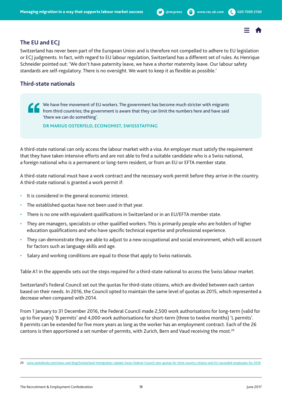## **The EU and ECJ**

Switzerland has never been part of the European Union and is therefore not compelled to adhere to EU legislation or ECJ judgments. In fact, with regard to EU labour regulation, Switzerland has a different set of rules. As Henrique Schneider pointed out: 'We don't have paternity leave, we have a shorter maternity leave. Our labour safety standards are self-regulatory. There is no oversight. We want to keep it as flexible as possible.'

## **Third-state nationals**

We have free movement of EU workers. The government has become much stricter with migrants from third countries; the government is aware that they can limit the numbers here and have said 'there we can do something'.

**DR MARIUS OSTERFELD, ECONOMIST, SWISSSTAFFING**

A third-state national can only access the labour market with a visa. An employer must satisfy the requirement that they have taken intensive efforts and are not able to find a suitable candidate who is a Swiss national, a foreign national who is a permanent or long-term resident, or from an EU or EFTA member state.

A third-state national must have a work contract and the necessary work permit before they arrive in the country. A third-state national is granted a work permit if:

- It is considered in the general economic interest.
- The established quotas have not been used in that year.
- There is no one with equivalent qualifications in Switzerland or in an EU/EFTA member state.
- They are managers, specialists or other qualified workers. This is primarily people who are holders of higher education qualifications and who have specific technical expertise and professional experience.
- They can demonstrate they are able to adjust to a new occupational and social environment, which will account for factors such as language skills and age.
- Salary and working conditions are equal to those that apply to Swiss nationals.

Table A1 in the appendix sets out the steps required for a third-state national to access the Swiss labour market.

Switzerland's Federal Council set out the quotas for third-state citizens, which are divided between each canton based on their needs. In 2016, the Council opted to maintain the same level of quotas as 2015, which represented a decrease when compared with 2014.

From 1 January to 31 December 2016, the Federal Council made 2,500 work authorisations for long-term (valid for up to five years) 'B permits' and 4,000 work authorisations for short-term (three to twelve months) 'L permits'. B permits can be extended for five more years as long as the worker has an employment contract. Each of the 26 cantons is then apportioned a set number of permits, with Zurich, Bern and Vaud receiving the most.<sup>29</sup>

<sup>29</sup> www.santaferelo.com/news-and-blog/Switzerland-Immigration-Update-Swiss-Federal-Council-sets-quotas-for-third-country-citizens-and-EU-seconded-employees-for-2016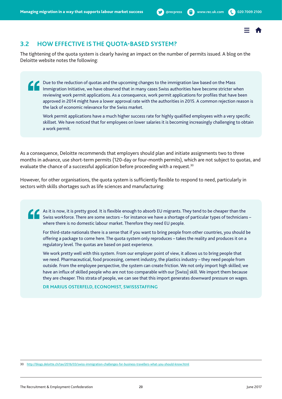# <span id="page-19-0"></span>**3.2 HOW EFFECTIVE IS THE QUOTA-BASED SYSTEM?**

The tightening of the quota system is clearly having an impact on the number of permits issued. A blog on the Deloitte website notes the following:

Due to the reduction of quotas and the upcoming changes to the immigration law based on the Mass Immigration Initiative, we have observed that in many cases Swiss authorities have become stricter when reviewing work permit applications. As a consequence, work permit applications for profiles that have been approved in 2014 might have a lower approval rate with the authorities in 2015. A common rejection reason is the lack of economic relevance for the Swiss market.

Work permit applications have a much higher success rate for highly qualified employees with a very specific skillset. We have noticed that for employees on lower salaries it is becoming increasingly challenging to obtain a work permit.

As a consequence, Deloitte recommends that employers should plan and initiate assignments two to three months in advance, use short-term permits (120-day or four-month permits), which are not subject to quotas, and evaluate the chance of a successful application before proceeding with a request.<sup>30</sup>

However, for other organisations, the quota system is sufficiently flexible to respond to need, particularly in sectors with skills shortages such as life sciences and manufacturing:

As it is now, it is pretty good. It is flexible enough to absorb EU migrants. They tend to be cheaper than the Swiss workforce. There are some sectors – for instance we have a shortage of particular types of technicians – where there is no domestic labour market. Therefore they need EU people.

 For third-state nationals there is a sense that if you want to bring people from other countries, you should be offering a package to come here. The quota system only reproduces – takes the reality and produces it on a regulatory level. The quotas are based on past experience.

 We work pretty well with this system. From our employer point of view, it allows us to bring people that we need. Pharmaceutical, food processing, cement industry, the plastics industry – they need people from outside. From the employee perspective, the system can create friction. We not only import high skilled; we have an influx of skilled people who are not too comparable with our [Swiss] skill. We import them because they are cheaper. This strata of people, we can see that this import generates downward pressure on wages.

**DR MARIUS OSTERFELD, ECONOMIST, SWISSSTAFFING**

<sup>30</sup> http://blogs.deloitte.ch/tax/2016/03/swiss-immigration-challenges-for-business-travellers-what-you-should-know.html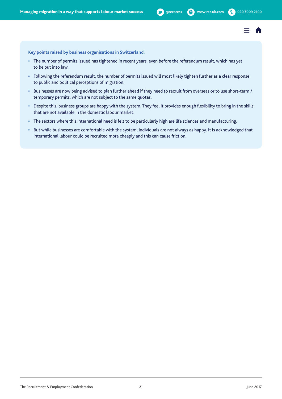

**Key points raised by business organisations in Switzerland:**

- **•** The number of permits issued has tightened in recent years, even before the referendum result, which has yet to be put into law.
- **•** Following the referendum result, the number of permits issued will most likely tighten further as a clear response to public and political perceptions of migration.
- **•** Businesses are now being advised to plan further ahead if they need to recruit from overseas or to use short-term / temporary permits, which are not subject to the same quotas.
- **•** Despite this, business groups are happy with the system. They feel it provides enough flexibility to bring in the skills that are not available in the domestic labour market.
- **•** The sectors where this international need is felt to be particularly high are life sciences and manufacturing.
- **•** But while businesses are comfortable with the system, individuals are not always as happy. It is acknowledged that international labour could be recruited more cheaply and this can cause friction.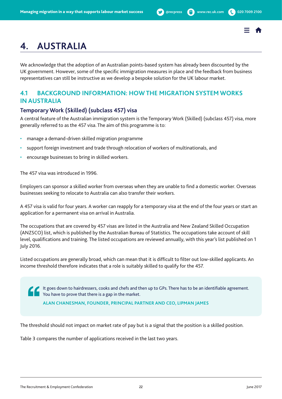

# <span id="page-21-0"></span>**4. AUSTRALIA**

We acknowledge that the adoption of an Australian points-based system has already been discounted by the UK government. However, some of the specific immigration measures in place and the feedback from business representatives can still be instructive as we develop a bespoke solution for the UK labour market.

# **4.1 BACKGROUND INFORMATION: HOW THE MIGRATION SYSTEM WORKS IN AUSTRALIA**

# **Temporary Work (Skilled) (subclass 457) visa**

A central feature of the Australian immigration system is the Temporary Work (Skilled) (subclass 457) visa, more generally referred to as the 457 visa. The aim of this programme is to:

- manage a demand-driven skilled migration programme
- support foreign investment and trade through relocation of workers of multinationals, and
- encourage businesses to bring in skilled workers.

The 457 visa was introduced in 1996.

Employers can sponsor a skilled worker from overseas when they are unable to find a domestic worker. Overseas businesses seeking to relocate to Australia can also transfer their workers.

A 457 visa is valid for four years. A worker can reapply for a temporary visa at the end of the four years or start an application for a permanent visa on arrival in Australia.

The occupations that are covered by 457 visas are listed in the Australia and New Zealand Skilled Occupation (ANZSCO) list, which is published by the Australian Bureau of Statistics. The occupations take account of skill level, qualifications and training. The listed occupations are reviewed annually, with this year's list published on 1 July 2016.

Listed occupations are generally broad, which can mean that it is difficult to filter out low-skilled applicants. An income threshold therefore indicates that a role is suitably skilled to qualify for the 457.

It goes down to hairdressers, cooks and chefs and then up to GPs. There has to be an identifiable agreement. You have to prove that there is a gap in the market.

**ALAN CHANESMAN, FOUNDER, PRINCIPAL PARTNER AND CEO, LIPMAN JAMES**

The threshold should not impact on market rate of pay but is a signal that the position is a skilled position.

Table 3 compares the number of applications received in the last two years.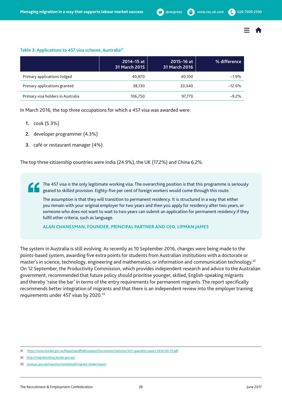

#### **Table 3: Applications to 457 visa scheme, Australia31**

|                                   | 2014-15 at<br>31 March 2015 | 2015-16 at<br>31 March 2016 | % difference |
|-----------------------------------|-----------------------------|-----------------------------|--------------|
| Primary applications lodged       | 40.870                      | 40.100                      | $-1.9%$      |
| Primary applications granted      | 38,130                      | 33.340                      | $-12.6%$     |
| Primary visa holders in Australia | 106.750                     | 97,770                      | $-9.2%$      |

In March 2016, the top three occupations for which a 457 visa was awarded were:

- **1.** cook (5.3%)
- **2.** developer programmer (4.3%)
- **3.** café or restaurant manager (4%).

The top three citizenship countries were India (24.9%), the UK (17.2%) and China 6.2%.

 The 457 visa is the only legitimate working visa. The overarching position is that this programme is seriously geared to skilled provision. Eighty-five per cent of foreign workers would come through this route.

 The assumption is that they will transition to permanent residency. It is structured in a way that either you remain with your original employer for two years and then you apply for residency after two years, or someone who does not want to wait to two years can submit an application for permanent residency if they fulfil other criteria, such as language.

**ALAN CHANESMAN, FOUNDER, PRINCIPAL PARTNER AND CEO, LIPMAN JAMES**

The system in Australia is still evolving. As recently as 10 September 2016, changes were being made to the points-based system, awarding five extra points for students from Australian institutions with a doctorate or master's in science, technology, engineering and mathematics, or information and communication technology.32 On 12 September, the Productivity Commission, which provides independent research and advice to the Australian government, recommended that future policy should prioritise younger, skilled, English-speaking migrants and thereby 'raise the bar' in terms of the entry requirements for permanent migrants. The report specifically recommends better integration of migrants and that there is an independent review into the employer training requirements under 457 visas by 2020.33

32 http://migrationblog.border.gov.au/

<sup>31</sup> <https://www.border.gov.au/ReportsandPublications/Documents/statistics/457-quarterly-report-2016-03-31.pdf>

<sup>33</sup> www.pc.gov.au/inquiries/completed/migrant-intake/report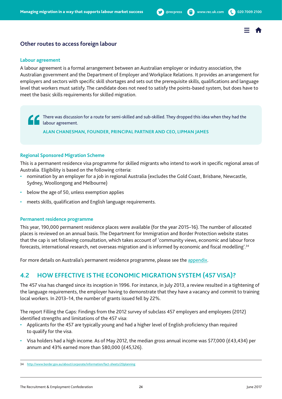

# <span id="page-23-0"></span>**Other routes to access foreign labour**

#### **Labour agreement**

A labour agreement is a formal arrangement between an Australian employer or industry association, the Australian government and the Department of Employer and Workplace Relations. It provides an arrangement for employers and sectors with specific skill shortages and sets out the prerequisite skills, qualifications and language level that workers must satisfy. The candidate does not need to satisfy the points-based system, but does have to meet the basic skills requirements for skilled migration.

 There was discussion for a route for semi-skilled and sub-skilled. They dropped this idea when they had the labour agreement.

**ALAN CHANESMAN, FOUNDER, PRINCIPAL PARTNER AND CEO, LIPMAN JAMES**

#### **Regional Sponsored Migration Scheme**

This is a permanent residence visa programme for skilled migrants who intend to work in specific regional areas of Australia. Eligibility is based on the following criteria:

- nomination by an employer for a job in regional Australia (excludes the Gold Coast, Brisbane, Newcastle, Sydney, Woollongong and Melbourne)
- below the age of 50, unless exemption applies
- meets skills, qualification and English language requirements.

#### **Permanent residence programme**

This year, 190,000 permanent residence places were available (for the year 2015–16). The number of allocated places is reviewed on an annual basis. The Department for Immigration and Border Protection website states that the cap is set following consultation, which takes account of 'community views, economic and labour force forecasts, international research, net overseas migration and is informed by economic and fiscal modelling'.34

For more details on Australia's permanent residence programme, please see the appendix.

# **4.2 HOW EFFECTIVE IS THE ECONOMIC MIGRATION SYSTEM (457 VISA)?**

The 457 visa has changed since its inception in 1996. For instance, in July 2013, a review resulted in a tightening of the language requirements, the employer having to demonstrate that they have a vacancy and commit to training local workers. In 2013–14, the number of grants issued fell by 22%.

The report Filling the Gaps: Findings from the 2012 survey of subclass 457 employers and employees (2012) identified strengths and limitations of the 457 visa:

- Applicants for the 457 are typically young and had a higher level of English proficiency than required to qualify for the visa.
- Visa holders had a high income. As of May 2012, the median gross annual income was \$77,000 (£43,434) per annum and 43% earned more than \$80,000 (£45,126).

<sup>34</sup> http://www.border.gov.au/about/corporate/information/fact-sheets/20planning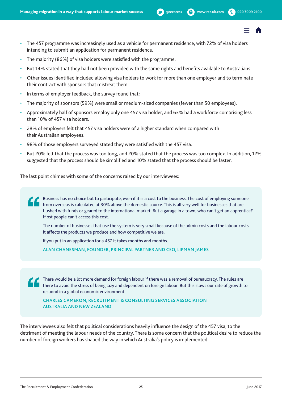- 
- The 457 programme was increasingly used as a vehicle for permanent residence, with 72% of visa holders intending to submit an application for permanent residence.
- The majority (86%) of visa holders were satisfied with the programme.
- But 14% stated that they had not been provided with the same rights and benefits available to Australians.
- Other issues identified included allowing visa holders to work for more than one employer and to terminate their contract with sponsors that mistreat them.
- In terms of employer feedback, the survey found that:
- The majority of sponsors (59%) were small or medium-sized companies (fewer than 50 employees).
- Approximately half of sponsors employ only one 457 visa holder, and 63% had a workforce comprising less than 10% of 457 visa holders.
- 28% of employers felt that 457 visa holders were of a higher standard when compared with their Australian employees.
- 98% of those employers surveyed stated they were satisfied with the 457 visa.
- But 20% felt that the process was too long, and 20% stated that the process was too complex. In addition, 12% suggested that the process should be simplified and 10% stated that the process should be faster.

The last point chimes with some of the concerns raised by our interviewees:

Business has no choice but to participate, even if it is a cost to the business. The cost of employing someone from overseas is calculated at 30% above the domestic source. This is all very well for businesses that are flushed with funds or geared to the international market. But a garage in a town, who can't get an apprentice? Most people can't access this cost.

 The number of businesses that use the system is very small because of the admin costs and the labour costs. It affects the products we produce and how competitive we are.

If you put in an application for a 457 it takes months and months.

**ALAN CHANESMAN, FOUNDER, PRINCIPAL PARTNER AND CEO, LIPMAN JAMES**

 There would be a lot more demand for foreign labour if there was a removal of bureaucracy. The rules are there to avoid the stress of being lazy and dependent on foreign labour. But this slows our rate of growth to respond in a global economic environment.

**CHARLES CAMERON, RECRUITMENT & CONSULTING SERVICES ASSOCIATION AUSTRALIA AND NEW ZEALAND**

The interviewees also felt that political considerations heavily influence the design of the 457 visa, to the detriment of meeting the labour needs of the country. There is some concern that the political desire to reduce the number of foreign workers has shaped the way in which Australia's policy is implemented.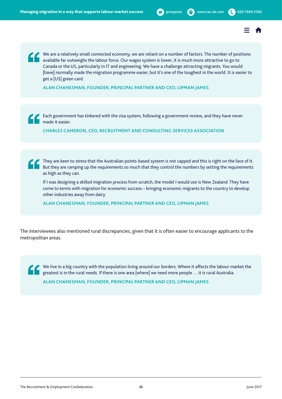We are a relatively small connected economy, we are reliant on a number of factors. The number of positions available far outweighs the labour force. Our wages system is lower, it is much more attractive to go to Canada or the US, particularly in IT and engineering. We have a challenge attracting migrants. You would [have] normally made the migration programme easier, but it's one of the toughest in the world. It is easier to get a [US] green card.

**ALAN CHANESMAN, FOUNDER, PRINCIPAL PARTNER AND CEO, LIPMAN JAMES**

Each government has tinkered with the visa system, following a government review, and they have never made it easier.

**CHARLES CAMERON, CEO, RECRUITMENT AND CONSULTING SERVICES ASSOCIATION**

They are keen to stress that the Australian points-based system is not capped and this is right on the face of it. But they are ramping up the requirements so much that they control the numbers by setting the requirements as high as they can.

 If I was designing a skilled migration process from scratch, the model I would use is New Zealand. They have come to terms with migration for economic success – bringing economic migrants to the country to develop other industries away from dairy.

**ALAN CHANESMAN, FOUNDER, PRINCIPAL PARTNER AND CEO, LIPMAN JAMES**

The interviewees also mentioned rural discrepancies, given that it is often easier to encourage applicants to the metropolitan areas.

We live in a big country with the population living around our borders. Where it affects the labour market the greatest is in the rural needs of there is and area futured. greatest is in the rural needs. If there is one area [where] we need more people … it is rural Australia. **ALAN CHANESMAN, FOUNDER, PRINCIPAL PARTNER AND CEO, LIPMAN JAMES**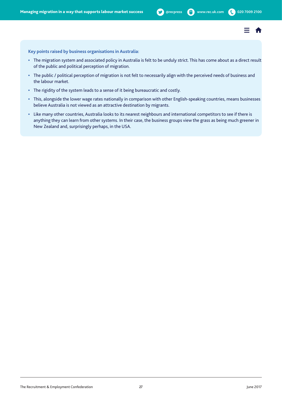**Key points raised by business organisations in Australia:**

- **•** The migration system and associated policy in Australia is felt to be unduly strict. This has come about as a direct result of the public and political perception of migration.
- **•** The public / political perception of migration is not felt to necessarily align with the perceived needs of business and the labour market.
- **•** The rigidity of the system leads to a sense of it being bureaucratic and costly.
- **•** This, alongside the lower wage rates nationally in comparison with other English-speaking countries, means businesses believe Australia is not viewed as an attractive destination by migrants.
- **•** Like many other countries, Australia looks to its nearest neighbours and international competitors to see if there is anything they can learn from other systems. In their case, the business groups view the grass as being much greener in New Zealand and, surprisingly perhaps, in the USA.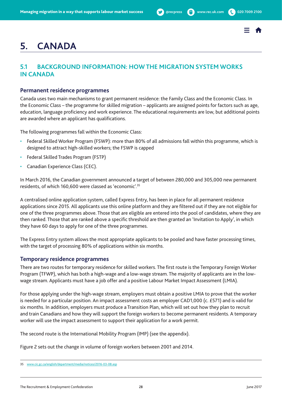

# <span id="page-27-0"></span>**5. CANADA**

# **5.1 BACKGROUND INFORMATION: HOW THE MIGRATION SYSTEM WORKS IN CANADA**

#### **Permanent residence programmes**

Canada uses two main mechanisms to grant permanent residence: the Family Class and the Economic Class. In the Economic Class – the programme for skilled migration – applicants are assigned points for factors such as age, education, language proficiency and work experience. The educational requirements are low, but additional points are awarded where an applicant has qualifications.

The following programmes fall within the Economic Class:

- Federal Skilled Worker Program (FSWP): more than 80% of all admissions fall within this programme, which is designed to attract high-skilled workers; the FSWP is capped
- Federal Skilled Trades Program (FSTP)
- Canadian Experience Class (CEC).

In March 2016, the Canadian government announced a target of between 280,000 and 305,000 new permanent residents, of which 160,600 were classed as 'economic'.35

A centralised online application system, called Express Entry, has been in place for all permanent residence applications since 2015. All applicants use this online platform and they are filtered out if they are not eligible for one of the three programmes above. Those that are eligible are entered into the pool of candidates, where they are then ranked. Those that are ranked above a specific threshold are then granted an 'Invitation to Apply', in which they have 60 days to apply for one of the three programmes.

The Express Entry system allows the most appropriate applicants to be pooled and have faster processing times, with the target of processing 80% of applications within six months.

### **Temporary residence programmes**

There are two routes for temporary residence for skilled workers. The first route is the Temporary Foreign Worker Program (TFWP), which has both a high-wage and a low-wage stream. The majority of applicants are in the lowwage stream. Applicants must have a job offer and a positive Labour Market Impact Assessment (LMIA).

For those applying under the high-wage stream, employers must obtain a positive LMIA to prove that the worker is needed for a particular position. An impact assessment costs an employer CAD1,000 (c. £571) and is valid for six months. In addition, employers must produce a Transition Plan, which will set out how they plan to recruit and train Canadians and how they will support the foreign workers to become permanent residents. A temporary worker will use the impact assessment to support their application for a work permit.

The second route is the International Mobility Program (IMP) (see the appendix).

Figure 2 sets out the change in volume of foreign workers between 2001 and 2014.

<sup>35</sup> www.cic.gc.ca/english/department/media/notices/2016-03-08.asp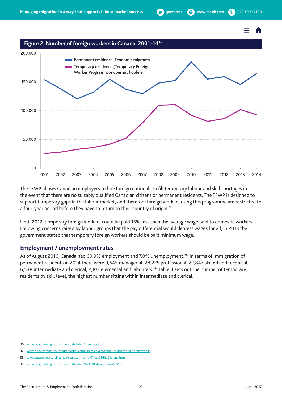#### **Figure 2: Number of foreign workers in Canada, 2001–1436**



The TFWP allows Canadian employers to hire foreign nationals to fill temporary labour and skill shortages in the event that there are no suitably qualified Canadian citizens or permanent residents. The TFWP is designed to support temporary gaps in the labour market, and therefore foreign workers using this programme are restricted to a four-year period before they have to return to their country of origin. $37$ 

Until 2012, temporary foreign workers could be paid 15% less than the average wage paid to domestic workers. Following concerns raised by labour groups that the pay differential would depress wages for all, in 2013 the government stated that temporary foreign workers should be paid minimum wage.

#### **Employment / unemployment rates**

As of August 2016, Canada had 60.9% employment and 7.0% unemployment.<sup>38</sup> In terms of immigration of permanent residents in 2014 there were 9,645 managerial, 28,225 professional, 22,847 skilled and technical, 6,538 intermediate and clerical, 2,103 elemental and labourers.39 Table 4 sets out the number of temporary residents by skill level, the highest number sitting within intermediate and clerical.

<sup>36</sup> www.cic.gc.ca/english/resources/statistics/menu-fact.asp

<sup>37</sup> www.cic.gc.ca/english/resources/publications/employers/temp-foreign-worker-program.asp

<sup>38</sup> www.statcan.gc.ca/tables-tableaux/sum-som/l01/cst01/lfss01a-eng.htm

<sup>39</sup> www.cic.gc.ca/english/resources/statistics/facts2014/permanent/22.asp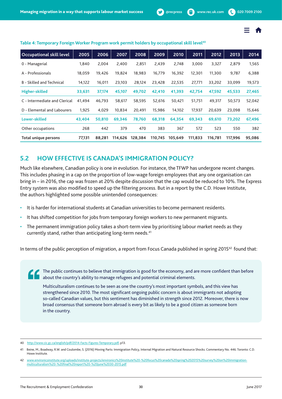

| <b>Occupational skill level</b> | 2005   | 2006   | 2007    | 2008    | 2009    | 2010    | 2011    | 2012    | 2013    | 2014   |
|---------------------------------|--------|--------|---------|---------|---------|---------|---------|---------|---------|--------|
| 0 - Managerial                  | 1,840  | 2,004  | 2,400   | 2,851   | 2,439   | 2,748   | 3,000   | 3,327   | 2,879   | 1,565  |
| A - Professionals               | 18,059 | 19,426 | 19,824  | 18,983  | 16,779  | 16,392  | 12,301  | 11,300  | 9,787   | 6,388  |
| B - Skilled and Technical       | 14,122 | 16,011 | 23,103  | 28,124  | 23.428  | 22.535  | 27,771  | 33,202  | 33,099  | 19,573 |
| Higher-skilled                  | 33,631 | 37,174 | 45,107  | 49,702  | 42,410  | 41,393  | 42,754  | 47,592  | 45,533  | 27,465 |
| C - Intermediate and Clerical   | 41,494 | 46,793 | 58,617  | 58,595  | 52,616  | 50,421  | 51,751  | 49,317  | 50,573  | 52,042 |
| D - Elemental and Labourers     | 1,925  | 4,029  | 10,834  | 20,491  | 15,986  | 14,102  | 17,937  | 20,639  | 23,098  | 15,646 |
| Lower-skilled                   | 43,404 | 50,810 | 69,346  | 78,760  | 68,318  | 64,354  | 69,343  | 69,610  | 73.202  | 67,496 |
| Other occupations               | 268    | 442    | 379     | 470     | 383     | 367     | 572     | 523     | 550     | 382    |
| Total unique persons            | 77.131 | 88.281 | 114.626 | 128,384 | 110.745 | 105.649 | 111.833 | 116.781 | 117.996 | 95,086 |

#### <span id="page-29-0"></span>Table 4: Temporary Foreign Worker Program work permit holders by occupational skill level<sup>40</sup>

# **5.2 HOW EFFECTIVE IS CANADA'S IMMIGRATION POLICY?**

Much like elsewhere, Canadian policy is one in evolution. For instance, the TFWP has undergone recent changes. This includes phasing in a cap on the proportion of low-wage foreign employees that any one organisation can bring in – in 2016, the cap was frozen at 20% despite discussion that the cap would be reduced to 10%. The Express Entry system was also modified to speed up the filtering process. But in a report by the C.D. Howe Institute, the authors highlighted some possible unintended consequences:

- It is harder for international students at Canadian universities to become permanent residents.
- It has shifted competition for jobs from temporary foreign workers to new permanent migrants.
- The permanent immigration policy takes a short-term view by prioritising labour market needs as they currently stand, rather than anticipating long-term needs.<sup>41</sup>

In terms of the public perception of migration, a report from Focus Canada published in spring 2015<sup>42</sup> found that:

 The public continues to believe that immigration is good for the economy, and are more confident than before about the country's ability to manage refugees and potential criminal elements.

 Multiculturalism continues to be seen as one the country's most important symbols, and this view has strengthened since 2010. The most significant ongoing public concern is about immigrants not adopting so-called Canadian values, but this sentiment has diminished in strength since 2012. Moreover, there is now broad consensus that someone born abroad is every bit as likely to be a good citizen as someone born in the country.

<sup>40</sup> http://www.cic.gc.ca/english/pdf/2014-Facts-Figures-Temporary.pdf, p13.

<sup>41</sup> Beine, M., Boadway, R.W. and Coulombe, S. (2016) Moving Parts: Immigration Policy, Internal Migration and Natural Resource Shocks. Commentary No. 446. Toronto: C.D. Howe Institute.

<sup>42</sup> www.environicsinstitute.org/uploads/institute-projects/environics%20institute%20-%20focus%20canada%20spring%202015%20survey%20on%20immigrationmulticulturalism%20-%20final%20report%20-%20june%2030-2015.pdf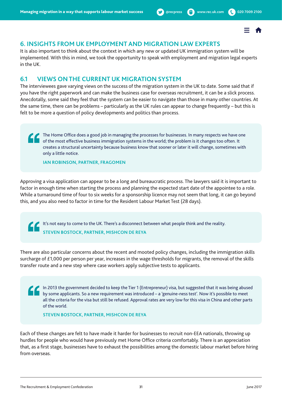

# <span id="page-30-0"></span>**6. INSIGHTS FROM UK EMPLOYMENT AND MIGRATION LAW EXPERTS**

It is also important to think about the context in which any new or updated UK immigration system will be implemented. With this in mind, we took the opportunity to speak with employment and migration legal experts in the UK.

# **6.1 VIEWS ON THE CURRENT UK MIGRATION SYSTEM**

The interviewees gave varying views on the success of the migration system in the UK to date. Some said that if you have the right paperwork and can make the business case for overseas recruitment, it can be a slick process. Anecdotally, some said they feel that the system can be easier to navigate than those in many other countries. At the same time, there can be problems – particularly as the UK rules can appear to change frequently – but this is felt to be more a question of policy developments and politics than process.

The Home Office does a good job in managing the processes for businesses. In many respects we have one of the most effective business immigration systems in the world; the problem is it changes too often. It creates a structural uncertainty because business know that sooner or later it will change, sometimes with only a little notice.

**IAN ROBINSON, PARTNER, FRAGOMEN**

Approving a visa application can appear to be a long and bureaucratic process. The lawyers said it is important to factor in enough time when starting the process and planning the expected start date of the appointee to a role. While a turnaround time of four to six weeks for a sponsorship licence may not seem that long, it can go beyond this, and you also need to factor in time for the Resident Labour Market Test (28 days).

It's not easy to come to the UK. There's a disconnect between what people think and the reality. **STEVEN BOSTOCK, PARTNER, MISHCON DE REYA**

There are also particular concerns about the recent and mooted policy changes, including the immigration skills surcharge of £1,000 per person per year, increases in the wage thresholds for migrants, the removal of the skills transfer route and a new step where case workers apply subjective tests to applicants.

In 2013 the government decided to keep the Tier 1 (Entrepreneur) visa, but suggested that it was being abused by some applicants. So a new requirement was introduced – a 'genuine-ness test'. Now it's possible to meet all the criteria for the visa but still be refused. Approval rates are very low for this visa in China and other parts of the world.

**STEVEN BOSTOCK, PARTNER, MISHCON DE REYA**

Each of these changes are felt to have made it harder for businesses to recruit non-EEA nationals, throwing up hurdles for people who would have previously met Home Office criteria comfortably. There is an appreciation that, as a first stage, businesses have to exhaust the possibilities among the domestic labour market before hiring from overseas.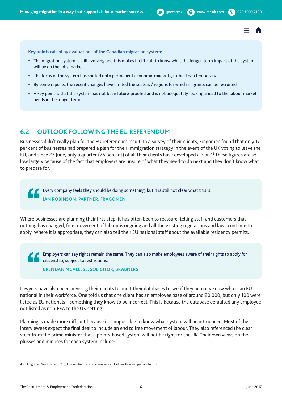

<span id="page-31-0"></span>**Key points raised by evaluations of the Canadian migration system:**

- **•** The migration system is still evolving and this makes it difficult to know what the longer-term impact of the system will be on the jobs market.
- **•** The focus of the system has shifted onto permanent economic migrants, rather than temporary.
- **•** By some reports, the recent changes have limited the sectors / regions for which migrants can be recruited.
- **•** A key point is that the system has not been future-proofed and is not adequately looking ahead to the labour market needs in the longer term.

# **6.2 OUTLOOK FOLLOWING THE EU REFERENDUM**

Businesses didn't really plan for the EU referendum result. In a survey of their clients, Fragomen found that only 17 per cent of businesses had prepared a plan for their immigration strategy in the event of the UK voting to leave the EU, and since 23 June, only a quarter (26 percent) of all their clients have developed a plan.<sup>43</sup> These figures are so low largely because of the fact that employers are unsure of what they need to do next and they don't know what to prepare for.

Every company feels they should be doing something, but it is still not clear what this is. **IAN ROBINSON, PARTNER, FRAGOMEN**

Where businesses are planning their first step, it has often been to reassure: telling staff and customers that nothing has changed, free movement of labour is ongoing and all the existing regulations and laws continue to apply. Where it is appropriate, they can also tell their EU national staff about the available residency permits.

Employers can say rights remain the same. They can also make employees aware of their rights to apply for citizenship, subject to restrictions.

**BRENDAN MCALEESE, SOLICITOR, BRABNERS**

Lawyers have also been advising their clients to audit their databases to see if they actually know who is an EU national in their workforce. One told us that one client has an employee base of around 20,000, but only 100 were listed as EU nationals – something they know to be incorrect. This is because the database defaulted any employee not listed as non-EEA to the UK setting.

Planning is made more difficult because it is impossible to know what system will be introduced. Most of the interviewees expect the final deal to include an end to free movement of labour. They also referenced the clear steer from the prime minister that a points-based system will not be right for the UK. Their own views on the plusses and minuses for each system include:

<sup>43</sup> Fragomen Worldwide (2016), Immigration benchmarking report: Helping business prepare for Brexit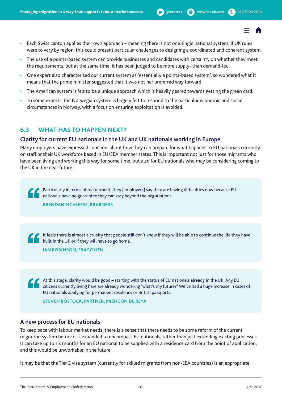- <span id="page-32-0"></span>• Each Swiss canton applies their own approach – meaning there is not one single national system; if UK rules were to vary by region, this could present particular challenges to designing a coordinated and coherent system.
- The use of a points-based system can provide businesses and candidates with certainty on whether they meet the requirements, but at the same time, it has been judged to be more supply- than demand-led.
- One expert also characterised our current system as 'essentially a points-based system', so wondered what it means that the prime minister suggested that it was not her preferred way forward.
- The American system is felt to be a unique approach which is heavily geared towards getting the green card.
- To some experts, the Norwegian system is largely felt to respond to the particular economic and social circumstances in Norway, with a focus on ensuring exploitation is avoided.

# **6.3 WHAT HAS TO HAPPEN NEXT?**

### **Clarity for current EU nationals in the UK and UK nationals working in Europe**

Many employers have expressed concerns about how they can prepare for what happens to EU nationals currently on staff or their UK workforce based in EU/EEA member states. This is important not just for those migrants who have been living and working this way for some time, but also for EU nationals who may be considering coming to the UK in the near future.

Particularly in terms of recruitment, they [employers] say they are having difficulties now because EU nationals have no guarantee they can stay beyond the negotiations.

**BRENDAN MCALEESE, BRABNERS**

 It feels there is almost a cruelty that people still don't know if they will be able to continue the life they have built in the UK or if they will have to go home.

**IAN ROBINSON, FRAGOMEN**

At this stage, clarity would be good – starting with the status of EU nationals already in the UK. Any EU citizens currently living here are already wondering 'what's my future?' We've had a huge increase in cases of EU nationals applying for permanent residency or British passports.

**STEVEN BOSTOCK, PARTNER, MISHCON DE REYA**

### **A new process for EU nationals**

To keep pace with labour market needs, there is a sense that there needs to be some reform of the current migration system before it is expanded to encompass EU nationals, rather than just extending existing processes. It can take up to six months for an EU national to be supplied with a residence card from the point of application, and this would be unworkable in the future.

It may be that the Tier 2 visa system (currently for skilled migrants from non-EEA countries) is an appropriate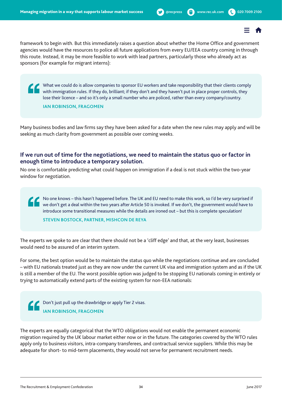framework to begin with. But this immediately raises a question about whether the Home Office and government agencies would have the resources to police all future applications from every EU/EEA country coming in through this route. Instead, it may be more feasible to work with lead partners, particularly those who already act as sponsors (for example for migrant interns):

What we could do is allow companies to sponsor EU workers and take responsibility that their clients comply with immigration rules. If they do, brilliant; if they don't and they haven't put in place proper controls, they lose their licence – and so it's only a small number who are policed, rather than every company/country.

**IAN ROBINSON, FRAGOMEN**

Many business bodies and law firms say they have been asked for a date when the new rules may apply and will be seeking as much clarity from government as possible over coming weeks.

## **If we run out of time for the negotiations, we need to maintain the status quo or factor in enough time to introduce a temporary solution.**

No one is comfortable predicting what could happen on immigration if a deal is not stuck within the two-year window for negotiation.

No one knows – this hasn't happened before. The UK and EU need to make this work, so I'd be very surprised if we don't get a deal within the two years after Article 50 is invoked. If we don't, the government would have to introduce some transitional measures while the details are ironed out – but this is complete speculation!

#### **STEVEN BOSTOCK, PARTNER, MISHCON DE REYA**

The experts we spoke to are clear that there should not be a 'cliff edge' and that, at the very least, businesses would need to be assured of an interim system.

For some, the best option would be to maintain the status quo while the negotiations continue and are concluded – with EU nationals treated just as they are now under the current UK visa and immigration system and as if the UK is still a member of the EU. The worst possible option was judged to be stopping EU nationals coming in entirely or trying to automatically extend parts of the existing system for non-EEA nationals:

 Don't just pull up the drawbridge or apply Tier 2 visas. **IAN ROBINSON, FRAGOMEN**

The experts are equally categorical that the WTO obligations would not enable the permanent economic migration required by the UK labour market either now or in the future. The categories covered by the WTO rules apply only to business visitors, intra-company transferees, and contractual service suppliers. While this may be adequate for short- to mid-term placements, they would not serve for permanent recruitment needs.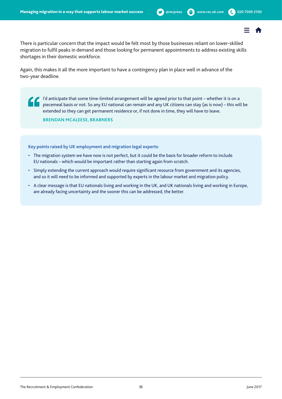There is particular concern that the impact would be felt most by those businesses reliant on lower-skilled migration to fulfil peaks in demand and those looking for permanent appointments to address existing skills shortages in their domestic workforce.

Again, this makes it all the more important to have a contingency plan in place well in advance of the two-year deadline.

 I'd anticipate that some time-limited arrangement will be agreed prior to that point – whether it is on a piecemeal basis or not. So any EU national can remain and any UK citizens can stay (as is now) – this will be extended so they can get permanent residence or, if not done in time, they will have to leave.

**BRENDAN MCALEESE, BRABNERS**

**Key points raised by UK employment and migration legal experts:**

- **•** The migration system we have now is not perfect, but it could be the basis for broader reform to include EU nationals – which would be important rather than starting again from scratch.
- **•** Simply extending the current approach would require significant resource from government and its agencies, and so it will need to be informed and supported by experts in the labour market and migration policy.
- **•** A clear message is that EU nationals living and working in the UK, and UK nationals living and working in Europe, are already facing uncertainty and the sooner this can be addressed, the better.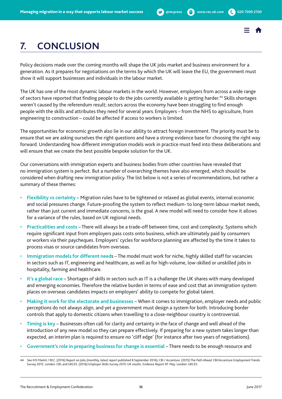

# <span id="page-35-0"></span>**7. CONCLUSION**

Policy decisions made over the coming months will shape the UK jobs market and business environment for a generation. As it prepares for negotiations on the terms by which the UK will leave the EU, the government must show it will support businesses and individuals in the labour market.

The UK has one of the most dynamic labour markets in the world. However, employers from across a wide range of sectors have reported that finding people to do the jobs currently available is getting harder.44 Skills shortages weren't caused by the referendum result; sectors across the economy have been struggling to find enough people with the skills and attributes they need for several years. Employers – from the NHS to agriculture, from engineering to construction – could be affected if access to workers is limited.

The opportunities for economic growth also lie in our ability to attract foreign investment. The priority must be to ensure that we are asking ourselves the right questions and have a strong evidence base for choosing the right way forward. Understanding how different immigration models work in practice must feed into these deliberations and will ensure that we create the best possible bespoke solution for the UK.

Our conversations with immigration experts and business bodies from other countries have revealed that no immigration system is perfect. But a number of overarching themes have also emerged, which should be considered when drafting new immigration policy. The list below is not a series of recommendations, but rather a summary of these themes:

- **Flexibility vs certainty** Migration rules have to be tightened or relaxed as global events, internal economic and social pressures change. Future-proofing the system to reflect medium- to long-term labour market needs, rather than just current and immediate concerns, is the goal. A new model will need to consider how it allows for a variance of the rules, based on UK regional needs.
- **Practicalities and costs** There will always be a trade-off between time, cost and complexity. Systems which require significant input from employers pass costs onto business, which are ultimately paid by consumers or workers via their paycheques. Employers' cycles for workforce planning are affected by the time it takes to process visas or source candidates from overseas.
- **Immigration models for different need**s The model must work for niche, highly skilled staff for vacancies in sectors such as IT, engineering and healthcare, as well as for high-volume, low-skilled or unskilled jobs in hospitality, farming and healthcare.
- **It's a global race** Shortages of skills in sectors such as IT is a challenge the UK shares with many developed and emerging economies. Therefore the relative burden in terms of ease and cost that an immigration system places on overseas candidates impacts on employers' ability to compete for global talent.
- **Making it work for the electorate and businesses** When it comes to immigration, employer needs and public perceptions do not always align, and yet a government must design a system for both. Introducing border controls that apply to domestic citizens when travelling to a close-neighbour country is controversial.
- **Timing is key** Businesses often call for clarity and certainty in the face of change and well ahead of the introduction of any new model so they can prepare effectively. If preparing for a new system takes longer than expected, an interim plan is required to ensure no 'cliff edge' (for instance after two years of negotiations).
- **Government's role in preparing business for change is essential** There needs to be enough resource and

See IHS Markit / REC. (2016) Report on Jobs (monthly, latest report published 8 September 2016); CBI / Accenture. (2015) The Path Ahead: CBI/Accenture Employment Trends Survey 2015. London: CBI; and UKCES. (2016) Employer Skills Survey 2015: UK results. Evidence Report 97. May. London: UKCES.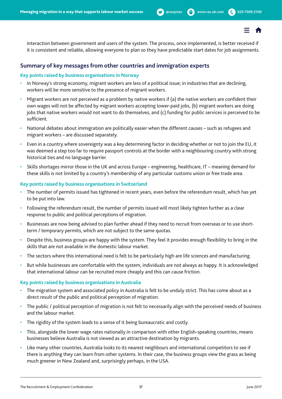

<span id="page-36-0"></span>interaction between government and users of the system. The process, once implemented, is better received if it is consistent and reliable, allowing everyone to plan so they have predictable start dates for job assignments.

### **Summary of key messages from other countries and immigration experts**

#### **Key points raised by business organisations in Norway**

- In Norway's strong economy, migrant workers are less of a political issue; in industries that are declining, workers will be more sensitive to the presence of migrant workers.
- Migrant workers are not perceived as a problem by native workers if (a) the native workers are confident their own wages will not be affected by migrant workers accepting lower-paid jobs, (b) migrant workers are doing jobs that native workers would not want to do themselves, and (c) funding for public services is perceived to be sufficient.
- National debates about immigration are politically easier when the different causes such as refugees and migrant workers – are discussed separately.
- Even in a country where sovereignty was a key determining factor in deciding whether or not to join the EU, it was deemed a step too far to require passport controls at the border with a neighbouring country with strong historical ties and no language barrier.
- Skills shortages mirror those in the UK and across Europe engineering, healthcare, IT meaning demand for these skills is not limited by a country's membership of any particular customs union or free trade area.

#### **Key points raised by business organisations in Switzerland**

- The number of permits issued has tightened in recent years, even before the referendum result, which has yet to be put into law.
- Following the referendum result, the number of permits issued will most likely tighten further as a clear response to public and political perceptions of migration.
- Businesses are now being advised to plan further ahead if they need to recruit from overseas or to use shortterm / temporary permits, which are not subject to the same quotas.
- Despite this, business groups are happy with the system. They feel it provides enough flexibility to bring in the skills that are not available in the domestic labour market.
- The sectors where this international need is felt to be particularly high are life sciences and manufacturing.
- But while businesses are comfortable with the system, individuals are not always as happy. It is acknowledged that international labour can be recruited more cheaply and this can cause friction.

#### **Key points raised by business organisations in Australia**

- The migration system and associated policy in Australia is felt to be unduly strict. This has come about as a direct result of the public and political perception of migration.
- The public / political perception of migration is not felt to necessarily align with the perceived needs of business and the labour market.
- The rigidity of the system leads to a sense of it being bureaucratic and costly.
- This, alongside the lower wage rates nationally in comparison with other English-speaking countries, means businesses believe Australia is not viewed as an attractive destination by migrants.
- Like many other countries, Australia looks to its nearest neighbours and international competitors to see if there is anything they can learn from other systems. In their case, the business groups view the grass as being much greener in New Zealand and, surprisingly perhaps, in the USA.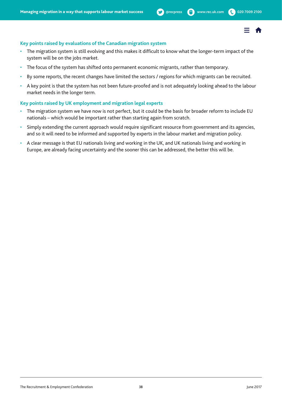

#### <span id="page-37-0"></span>**Key points raised by evaluations of the Canadian migration system**

- The migration system is still evolving and this makes it difficult to know what the longer-term impact of the system will be on the jobs market.
- The focus of the system has shifted onto permanent economic migrants, rather than temporary.
- By some reports, the recent changes have limited the sectors / regions for which migrants can be recruited.
- A key point is that the system has not been future-proofed and is not adequately looking ahead to the labour market needs in the longer term.

#### **Key points raised by UK employment and migration legal experts**

- The migration system we have now is not perfect, but it could be the basis for broader reform to include EU nationals – which would be important rather than starting again from scratch.
- Simply extending the current approach would require significant resource from government and its agencies, and so it will need to be informed and supported by experts in the labour market and migration policy.
- A clear message is that EU nationals living and working in the UK, and UK nationals living and working in Europe, are already facing uncertainty and the sooner this can be addressed, the better this will be.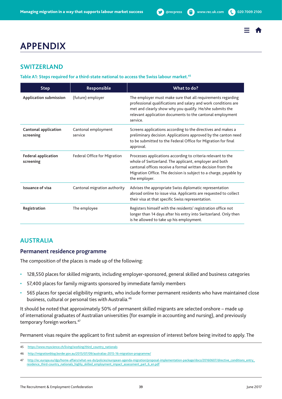# <span id="page-38-0"></span>**APPENDIX**

# **SWITZERLAND**

**Table A1: Steps required for a third-state national to access the Swiss labour market.45**

| <b>Step</b>                              | Responsible                         | What to do?                                                                                                                                                                                                                                                                 |
|------------------------------------------|-------------------------------------|-----------------------------------------------------------------------------------------------------------------------------------------------------------------------------------------------------------------------------------------------------------------------------|
| <b>Application submission</b>            | (future) employer                   | The employer must make sure that all requirements regarding<br>professional qualifications and salary and work conditions are<br>met and clearly show why you qualify. He/she submits the<br>relevant application documents to the cantonal employment<br>service.          |
| <b>Cantonal application</b><br>screening | Cantonal employment<br>service      | Screens applications according to the directives and makes a<br>preliminary decision. Applications approved by the canton need<br>to be submitted to the Federal Office for Migration for final<br>approval.                                                                |
| <b>Federal application</b><br>screening  | <b>Federal Office for Migration</b> | Processes applications according to criteria relevant to the<br>whole of Switzerland. The applicant, employer and both<br>cantonal offices receive a formal written decision from the<br>Migration Office. The decision is subject to a charge, payable by<br>the employer. |
| <b>Issuance of visa</b>                  | Cantonal migration authority        | Advises the appropriate Swiss diplomatic representation<br>abroad online to issue visa. Applicants are requested to collect<br>their visa at that specific Swiss representation.                                                                                            |
| Registration                             | The employee                        | Registers himself with the residents' registration office not<br>longer than 14 days after his entry into Switzerland. Only then<br>is he allowed to take up his employment.                                                                                                |

# **AUSTRALIA**

### **Permanent residence programme**

The composition of the places is made up of the following:

- 128,550 places for skilled migrants, including employer-sponsored, general skilled and business categories
- 57,400 places for family migrants sponsored by immediate family members
- 565 places for special eligibility migrants, who include former permanent residents who have maintained close business, cultural or personal ties with Australia.<sup>46</sup>

It should be noted that approximately 50% of permanent skilled migrants are selected onshore – made up of international graduates of Australian universities (for example in accounting and nursing), and previously temporary foreign workers.<sup>47</sup>

Permanent visas require the applicant to first submit an expression of interest before being invited to apply. The

<sup>45</sup> [https://www.myscience.ch/living/working/third\\_country\\_nationals](https://www.myscience.ch/living/working/third_country_nationals)

<sup>46</sup> <http://migrationblog.border.gov.au/2015/07/09/australias-2015-16-migration-programme/>

<sup>47</sup> [http://ec.europa.eu/dgs/home-affairs/what-we-do/policies/european-agenda-migration/proposal-implementation-package/docs/20160607/directive\\_conditions\\_entry\\_](http://ec.europa.eu/dgs/home-affairs/what-we-do/policies/european-agenda-migration/proposal-implementation-package/docs/20160607/directive_conditions_entry_residence_third-country_nationals_highly_skilled_employment_impact_assessment_part_6_en.pdf) [residence\\_third-country\\_nationals\\_highly\\_skilled\\_employment\\_impact\\_assessment\\_part\\_6\\_en.pdf](http://ec.europa.eu/dgs/home-affairs/what-we-do/policies/european-agenda-migration/proposal-implementation-package/docs/20160607/directive_conditions_entry_residence_third-country_nationals_highly_skilled_employment_impact_assessment_part_6_en.pdf)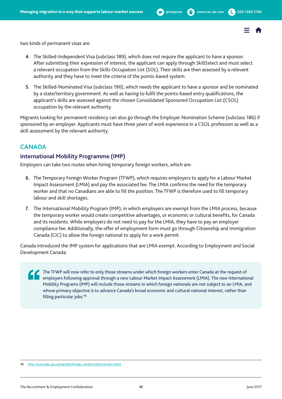

<span id="page-39-0"></span>two kinds of permanent visas are:

- **4.** The Skilled-Independent Visa (subclass 189), which does not require the applicant to have a sponsor. After submitting their expression of interest, the applicant can apply through SkillSelect and must select a relevant occupation from the Skills Occupation List (SOL). Their skills are then assessed by a relevant authority and they have to meet the criteria of the points-based system.
- **5.** The Skilled-Nominated Visa (subclass 190), which needs the applicant to have a sponsor and be nominated by a state/territory government. As well as having to fulfil the points-based entry qualifications, the applicant's skills are assessed against the chosen Consolidated Sponsored Occupation List (CSOL) occupation by the relevant authority.

Migrants looking for permanent residency can also go through the Employer Nomination Scheme (subclass 186) if sponsored by an employer. Applicants must have three years of work experience in a CSOL profession as well as a skill assessment by the relevant authority.

# **CANADA**

## **International Mobility Programme (IMP)**

Employers can take two routes when hiring temporary foreign workers, which are:

- **6.** The Temporary Foreign Worker Program (TFWP), which requires employers to apply for a Labour Market Impact Assessment (LMIA) and pay the associated fee. The LMIA confirms the need for the temporary worker and that no Canadians are able to fill the position. The TFWP is therefore used to fill temporary labour and skill shortages.
- **7.** The International Mobility Program (IMP), in which employers are exempt from the LMIA process, because the temporary worker would create competitive advantages, or economic or cultural benefits, for Canada and its residents. While employers do not need to pay for the LMIA, they have to pay an employer compliance fee. Additionally, the offer of employment form must go through Citizenship and Immigration Canada (CIC) to allow the foreign national to apply for a work permit.

Canada introduced the IMP system for applications that are LMIA exempt. According to Employment and Social Development Canada:

The TFWP will now refer to only those streams under which foreign workers enter Canada at the request of employers following approval through a new Labour Market Impact Assessment (LMIA). The new International Mobility Programs (IMP) will include those streams in which foreign nationals are not subject to an LMIA, and whose primary objective is to advance Canada's broad economic and cultural national interest, rather than filling particular jobs.<sup>48</sup>

<sup>48</sup> [http://www.edsc.gc.ca/eng/jobs/foreign\\_workers/reform/index.shtml](http://www.edsc.gc.ca/eng/jobs/foreign_workers/reform/index.shtml)